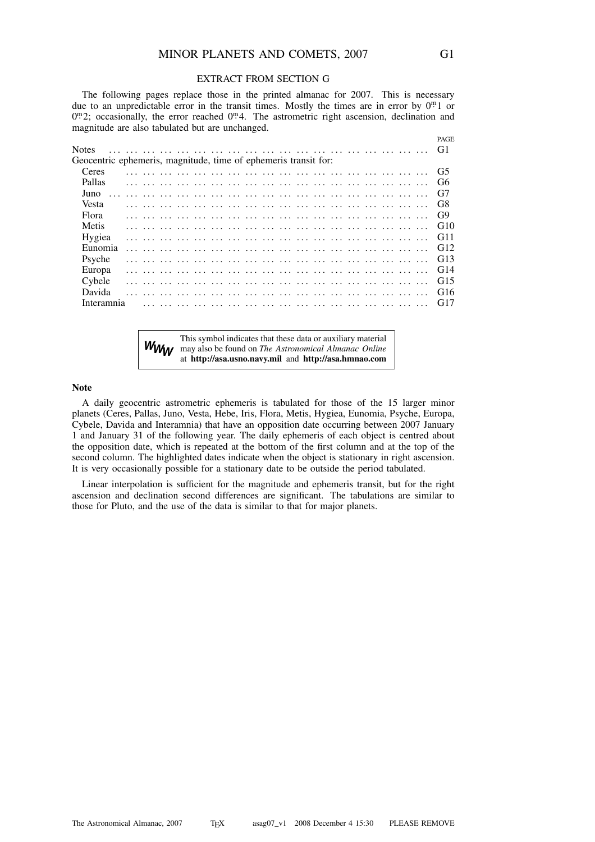#### EXTRACT FROM SECTION G

The following pages replace those in the printed almanac for 2007. This is necessary due to an unpredictable error in the transit times. Mostly the times are in error by  $0^{\text{m}}$  1 or  $0^{\text{m}}2$ ; occasionally, the error reached  $0^{\text{m}}4$ . The astrometric right ascension, declination and magnitude are also tabulated but are unchanged.

|                                                                 |  |  |  |  |  |  |  |  |  | PAGE           |
|-----------------------------------------------------------------|--|--|--|--|--|--|--|--|--|----------------|
| <b>Notes</b>                                                    |  |  |  |  |  |  |  |  |  | G1             |
| Geocentric ephemeris, magnitude, time of ephemeris transit for: |  |  |  |  |  |  |  |  |  |                |
| Ceres                                                           |  |  |  |  |  |  |  |  |  | G <sub>5</sub> |
| Pallas                                                          |  |  |  |  |  |  |  |  |  | G6             |
| Juno                                                            |  |  |  |  |  |  |  |  |  | G7             |
| Vesta                                                           |  |  |  |  |  |  |  |  |  | G8             |
| Flora                                                           |  |  |  |  |  |  |  |  |  | G <sub>9</sub> |
| Metis                                                           |  |  |  |  |  |  |  |  |  | G10            |
| Hygiea                                                          |  |  |  |  |  |  |  |  |  | G11            |
| Eunomia                                                         |  |  |  |  |  |  |  |  |  | G12            |
| Psyche                                                          |  |  |  |  |  |  |  |  |  | G13            |
| Europa                                                          |  |  |  |  |  |  |  |  |  | G14            |
| Cybele                                                          |  |  |  |  |  |  |  |  |  | G15            |
| Davida                                                          |  |  |  |  |  |  |  |  |  | G16            |
| Interamnia                                                      |  |  |  |  |  |  |  |  |  | G17            |
|                                                                 |  |  |  |  |  |  |  |  |  |                |

*WWW* This symbol indicates that these data or auxiliary material may also be found on *The Astronomical Almanac Online* at **http://asa.usno.navy.mil** and **http://asa.hmnao.com**

#### **Note**

A daily geocentric astrometric ephemeris is tabulated for those of the 15 larger minor planets (Ceres, Pallas, Juno, Vesta, Hebe, Iris, Flora, Metis, Hygiea, Eunomia, Psyche, Europa, Cybele, Davida and Interamnia) that have an opposition date occurring between 2007 January 1 and January 31 of the following year. The daily ephemeris of each object is centred about the opposition date, which is repeated at the bottom of the first column and at the top of the second column. The highlighted dates indicate when the object is stationary in right ascension. It is very occasionally possible for a stationary date to be outside the period tabulated.

Linear interpolation is sufficient for the magnitude and ephemeris transit, but for the right ascension and declination second differences are significant. The tabulations are similar to those for Pluto, and the use of the data is similar to that for major planets.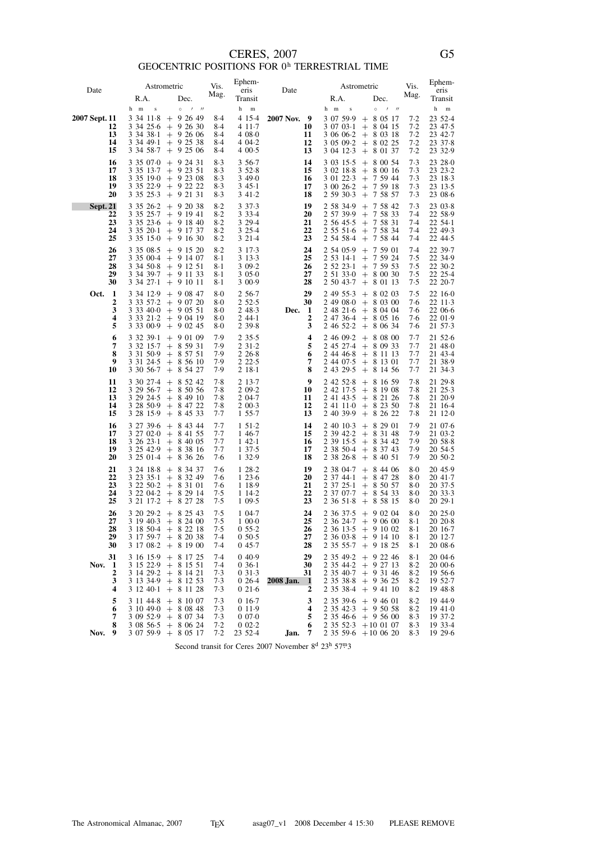## CERES, 2007<br>GEOCENTRIC POSITIONS FOR  $0^{\rm h}$  TERRESTRIAL TIME

| Date            |                            |                                                                     | Astrometric                                                                                                                                                   | Vis.                                  | Ephem-<br>eris                                                  | Date                                          |                                                                     | Astrometric                                                                                                                                                           | Vis.                                        | Ephem-<br>eris                                                          |
|-----------------|----------------------------|---------------------------------------------------------------------|---------------------------------------------------------------------------------------------------------------------------------------------------------------|---------------------------------------|-----------------------------------------------------------------|-----------------------------------------------|---------------------------------------------------------------------|-----------------------------------------------------------------------------------------------------------------------------------------------------------------------|---------------------------------------------|-------------------------------------------------------------------------|
|                 |                            | R.A.                                                                | Dec.                                                                                                                                                          | Mag.                                  | Transit                                                         |                                               | R.A.                                                                | Dec.                                                                                                                                                                  | Mag.                                        | Transit                                                                 |
| 2007 Sept. 11   | 12<br>13<br>14<br>15       | h m<br>$\bf{s}$<br>3 34 11 8<br>3 34 38 1<br>3 34 49 1<br>3 34 58 7 | $\circ$<br>$\prime$ //<br>$+92649$<br>3 34 25 6 + 9 26 30<br>$+92606$<br>$+92538$<br>$+$ 9 25 06                                                              | 8.4<br>8.4<br>8.4<br>8.4<br>8.4       | h<br>$\,$ m<br>4 15 4<br>4 11 - 7<br>408.0<br>4 04 - 2<br>400.5 | 2007 Nov. 9<br>10<br>11<br>12<br>13           | $\bf{s}$<br>h m                                                     | $\circ$<br>$1$ $1$<br>$3\;07\;59.9\;+\;8\;05\;17$<br>$3\ 07\ 03.1$ + 8 04 15<br>$3\,06\,06.2 + 8\,03\,18$<br>$3\;05\;09.2$ + 8 02 25<br>$3\;04\;12.3\; + \;8\;01\;37$ | $7 - 2$<br>$7-2$<br>$7-2$<br>$7-2$<br>$7-2$ | h<br>${\bf m}$<br>23 52 - 4<br>23 47 5<br>23 42.7<br>23 37 8<br>23 32.9 |
|                 | 16<br>17<br>18<br>19<br>20 | 3 35 07 0<br>3 35 13 7<br>3 35 19 0<br>3 35 25 3                    | $+92431$<br>$+$ 9 23 51<br>$+92308$<br>$3\;35\;22.9\;+\;9\;22\;22$<br>$+92131$                                                                                | 8.3<br>$8-3$<br>$8-3$<br>8.3<br>$8-3$ | 3 5 6 - 7<br>352.8<br>3490<br>3 45 1<br>341.2                   | 14<br>15<br>16<br>17<br>18                    | 3 03 15 5<br>3 02 18 8                                              | $+80054$<br>$+80016$<br>$3\;01\;22.3\;+\;7\;59\;44$<br>$3\ 00\ 26.2 + 7\ 59\ 18$<br>2 59 30 3 + 7 58 57                                                               | 7.3<br>7.3<br>7.3<br>7.3<br>7.3             | 23 28 0<br>23 23 2<br>23 18 - 3<br>23 13 - 5<br>23 08 6                 |
| <b>Sept. 21</b> | 22<br>23<br>24<br>25       | 3 35 26 2<br>3 35 25 - 7<br>3 35 20 1                               | $+92038$<br>$+91941$<br>$3\;35\;23\;6\;+9\;18\;40$<br>$+91737$<br>$3\;35\;15.0\; + \;9\;16\;30$                                                               | 8.2<br>$8-2$<br>$8-2$<br>8.2<br>$8-2$ | 3 3 7 - 3<br>3 3 3 - 4<br>3 29 4<br>3 2 5 4<br>3 2 1 - 4        | 19<br>20<br>21<br>22<br>23                    | 2 58 34.9                                                           | $+ 75842$<br>$2\;57\;39.9\;+\;7\;58\;33$<br>$2\;56\;45.5\;+\;7\;58\;31$<br>$2\;55\;51\cdot6\;$ + 7 58 34<br>$2\;54\;58.4\;\;+\;\;7\;58\;44$                           | 7.3<br>7.4<br>7.4<br>7.4<br>7.4             | 23 03 8<br>22 58.9<br>$22\;54.1$<br>22 49 - 3<br>22 44 - 5              |
|                 | 26<br>27<br>28<br>29<br>30 | 3 35 08 5<br>3 34 50 8<br>$3\;34\;27.1$                             | $+$ 9 15 20<br>$3\;35\;00.4$ + 9 14 07<br>$+$ 9 12 51<br>$3\,34\,39.7$ + 9 11 33<br>$+$ 9 10 11                                                               | $8-2$<br>8.1<br>$8-1$<br>$8-1$<br>8.1 | 3 1 7 - 3<br>3 1 3 - 3<br>309.2<br>3050<br>3 0 0 . 9            | 24<br>25<br>26<br>27<br>28                    | 2 54 05.9<br>2 52 23 1                                              | $+75901$<br>$2\;53\;14.1\;+\;7\;59\;24$<br>$+ 75953$<br>$2\;51\;33\cdot 0\;\;+\;\;8\;00\;30$<br>$2\;50\;43.7\;+\;8\;01\;13$                                           | 7.4<br>7.5<br>7.5<br>7.5<br>7.5             | 22 39 - 7<br>22 34.9<br>22 30 2<br>22 25 4<br>22 20 - 7                 |
| Oct.            | 1<br>2<br>3<br>4<br>5      | 3 33 57 2<br>3 3 3 2 1 - 2<br>3 3 3 0 0 - 9                         | $3\,34\,12.9$ + 9 08 47<br>$+$ 9 07 20<br>$3\,33\,40\,0 + 9\,05\,51$<br>$+90419$<br>$+90245$                                                                  | $8-0$<br>$8-0$<br>$8-0$<br>8.0<br>8.0 | 2 5 6 - 7<br>2 52 5<br>248.3<br>244.1<br>2 3 9 8                | 29<br>30<br>Dec.<br>$\mathbf{1}$<br>2<br>3    | 2 49 08 0                                                           | $2\;49\;55.3\;\;+\;\;8\;02\;03$<br>$+80300$<br>2 48 21 6 + 8 04 04<br>$2\;47\;36.4\;\;+\;\;8\;05\;16$<br>$2\;46\;52.2\;+\;8\;06\;34$                                  | 7.5<br>7.6<br>7.6<br>7.6<br>7.6             | 22 16 0<br>22 11 3<br>22 06 6<br>22 01.9<br>21 57 3                     |
|                 | 6<br>7<br>8<br>9<br>10     | 3 32 39 1<br>3 32 15.7<br>3 31 24 5<br>3 30 56 7                    | $+90109$<br>$+85931$<br>$3\;31\;50.9\;+\;8\;57\;51$<br>$+85610$<br>$+85427$                                                                                   | 7.9<br>7.9<br>7.9<br>7.9<br>7.9       | 235.5<br>231.2<br>$2\,26.8$<br>22.5<br>$218-1$                  | $\overline{\bf 4}$<br>5<br>6<br>7<br>8        | 2 46 09.2<br>2 44 0 7 5<br>2 43 29 5                                | $+80800$<br>2 45 27 4 + 8 09 33<br>$2\;44\;46.8\;+\;8\;11\;13$<br>$+81301$<br>$+81456$                                                                                | 7.7<br>7.7<br>7.7<br>7.7<br>7.7             | 21 52 6<br>21 48 0<br>21 43 4<br>21 38.9<br>21 34 3                     |
|                 | 11<br>12<br>13<br>14<br>15 | 3 30 27 4<br>3 29 56 7<br>3 29 24 5<br>3 28 15 9                    | $+ 85242$<br>$+85056$<br>$+84910$<br>3 28 50 9 + 8 47 22<br>$+84533$                                                                                          | 7.8<br>7.8<br>7.8<br>7.8<br>7.7       | 2 13 - 7<br>2 09.2<br>2 04.7<br>200.3<br>1 55.7                 | 9<br>10<br>11<br>12<br>13                     | 2 42 52 8<br>2 42 17 5<br>2 40 39 9                                 | $+81659$<br>$+81908$<br>$2\;41\;43.5\;+\;8\;21\;26$<br>$2\;41\;11\cdot0\;$ + 8 23 50<br>$+82622$                                                                      | 7.8<br>7.8<br>7.8<br>7.8<br>7.8             | 21 29 8<br>21 25.3<br>21 20.9<br>21 16 4<br>21 12 0                     |
|                 | 16<br>17<br>18<br>19<br>20 | 3 27 39 6<br>3 27 02 0<br>3 26 23 1<br>3 25 42.9                    | $+84344$<br>$+84155$<br>$+84005$<br>$+83816$<br>$3\; 25\; 01.4 \; + \; 8\; 36\; 26$                                                                           | $7-7$<br>7.7<br>$7-7$<br>$7-7$<br>7.6 | 151.2<br>1 46.7<br>142.1<br>1 37.5<br>1 3 2 . 9                 | 14<br>15<br>16<br>17<br>18                    | 2 40 10 3<br>2 39 4 2 2<br>2 38 26 8                                | $+82901$<br>$+83148$<br>$2\,39\,15.5\;+\;8\,34\,42$<br>2 38 50 4 + 8 37 43<br>$+84051$                                                                                | 7.9<br>7.9<br>7.9<br>7.9<br>7.9             | 21 07 6<br>21 03 - 2<br>2058.8<br>20, 54.5<br>$20\,50.2$                |
|                 | 21<br>22<br>23<br>24<br>25 | 3 24 18 8<br>32335.1<br>3 22 50 2<br>3 22 04 2<br>3 21 17 2         | $+83437$<br>$+83249$<br>$+83101$<br>$+82914$<br>$+82728$                                                                                                      | 7.6<br>7.6<br>7.6<br>7.5<br>7.5       | 128.2<br>123.6<br>1 18.9<br>1 14 2<br>1 09.5                    | 19<br>20<br>21<br>22<br>23                    | 2 38 04.7<br>$23744 \cdot 1$<br>$23725-1$<br>2 37 07 7<br>2 36 51 8 | $+84406$<br>$+84728$<br>$+85057$<br>$+85433$<br>$+85815$                                                                                                              | 8.0<br>8.0<br>8.0<br>8.0<br>8.0             | 20 45.9<br>20 41.7<br>20 37 - 5<br>20 33 3<br>2029.1                    |
|                 | 26<br>27<br>28<br>29<br>30 |                                                                     | $3\ 20\ 29.2 + 8\ 25\ 43$<br>$3\ 19\ 40.3 + 8\ 24\ 00$<br>$31850-4 + 82218$<br>$3\ 17\ 59.7 + 8\ 20\ 38$<br>$3\ 17\ 08.2 + 8\ 19\ 00$                         | 7.5<br>7.5<br>7.5<br>7.4<br>$7-4$     | 104.7<br>10000<br>$0.55 - 2$<br>$0.50 - 5$<br>045.7             | 24<br>25<br>26<br>27<br>28                    |                                                                     | $2\;36\;37.5\;+\;9\;02\;04$<br>$2\;36\;24.7\;+\;9\;06\;00$<br>2 36 13.5 + 9 10 02<br>$2\;36\;03.8\;+\;9\;14\;10$<br>$2\;35\;55.7$ + 9 18 25                           | 8.0<br>8-1<br>$8-1$<br>8-1<br>$8-1$         | 20250<br>2020.8<br>$2016-7$<br>20 12 7<br>20 08 6                       |
| Nov.            | 31<br>-1<br>2<br>3<br>4    |                                                                     | $31615.9 + 81725$<br>$31522.9 + 81551$<br>$3\ 14\ 29.2 + 8\ 14\ 21$<br>$3\ 13\ 34.9 + 8\ 12\ 53$<br>$31240 \cdot 1 + 81128$                                   | $7-4$<br>$7-4$<br>7.3<br>7.3<br>7.3   | 040.9<br>$036-1$<br>031.3<br>$026-4$<br>021.6                   | 29<br>30<br>31<br>2008 Jan. 1<br>$\mathbf{2}$ |                                                                     | $2\;35\;49.2\;+\;9\;22\;46$<br>$2\;35\;44.2\;+\;9\;27\;13$<br>$2\;35\;40.7\;+\;9\;31\;46$<br>2 35 38.8 + 9 36 25<br>2 35 38 4 + 9 41 10                               | $8-1$<br>$8-2$<br>$8-2$<br>$8-2$<br>$8-2$   | 20 04 6<br>20006<br>19566<br>19 52.7<br>19 48.8                         |
| Nov. 9          | 5<br>6<br>7<br>8           |                                                                     | $3 \; 11 \; 44.8 \; + \; 8 \; 10 \; 07$<br>$3\ 10\ 49.0 + 8\ 08\ 48$<br>$3\ 09\ 52.9$ + 8 07 34<br>$3\;08\;56.5\;+\;8\;06\;24$<br>$3\;07\;59.9\;+\;8\;05\;17$ | 7.3<br>7.3<br>7.3<br>7.2<br>7.2       | $0.16 - 7$<br>0 1 1 . 9<br>0070<br>002.2<br>23 52 4             | 3<br>4<br>5<br>6<br>Jan.<br>7                 |                                                                     | $2\;35\;39.6\; + \;9\;46\;01$<br>$2\;35\;42.3\;\;+\;\;9\;50\;58$<br>2 35 46.6 + 9 56 00<br>$2\;35\;52.3\;+10\;01\;07$<br>$2\,35\,59.6$ + 10 06 20                     | $8-2$<br>8.2<br>8.3<br>8.3<br>8.3           | 19 44.9<br>1941.0<br>19 37 - 2<br>19 33 4<br>19 29 6                    |

Second transit for Ceres 2007 November 8<sup>d</sup> 23<sup>h</sup> 57m<sub>3</sub>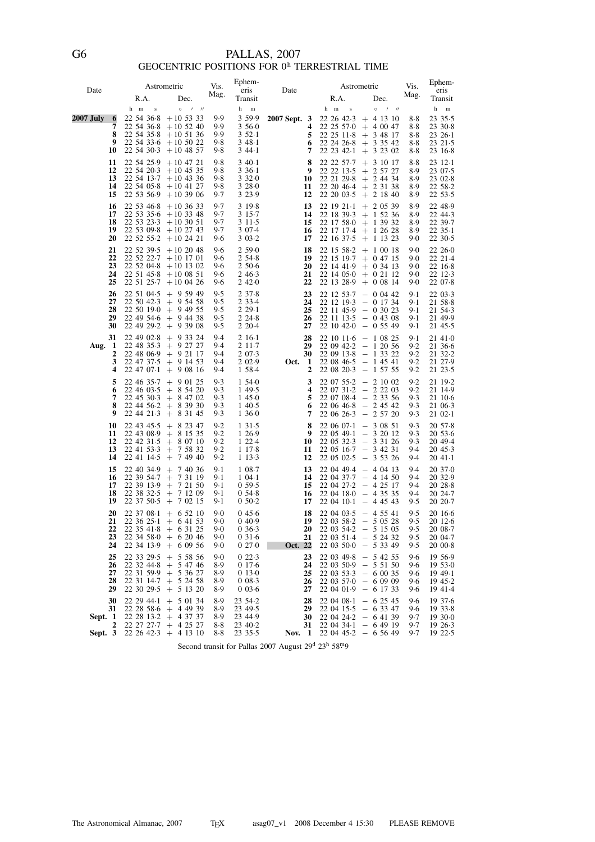## PALLAS, 2007<br>GEOCENTRIC POSITIONS FOR  $0^{\rm h}$  TERRESTRIAL TIME

| Date               |                            |                                                                                       | Astrometric                                                                                                                                               | Vis.                              | Ephem-<br>eris                                          |              |                                             |                                                                                                                               | Astrometric                                                                                                                                                              | Vis.                                    | Ephem-<br>eris                                         |
|--------------------|----------------------------|---------------------------------------------------------------------------------------|-----------------------------------------------------------------------------------------------------------------------------------------------------------|-----------------------------------|---------------------------------------------------------|--------------|---------------------------------------------|-------------------------------------------------------------------------------------------------------------------------------|--------------------------------------------------------------------------------------------------------------------------------------------------------------------------|-----------------------------------------|--------------------------------------------------------|
|                    |                            | R.A.                                                                                  | Dec.                                                                                                                                                      | Mag.                              | Transit                                                 | Date         |                                             | R.A.                                                                                                                          | Dec.                                                                                                                                                                     | Mag.                                    | Transit                                                |
|                    |                            | h m<br>$\,$ s                                                                         | $\circ$<br>$\prime$ //                                                                                                                                    |                                   | h<br>$\, {\rm m}$                                       |              |                                             | h m<br>$\bf{s}$                                                                                                               | $\circ$<br>$\prime$<br>$^{\prime\prime}$                                                                                                                                 |                                         | h<br>$\mathbf m$                                       |
| 2007 July          | 6<br>7<br>8<br>9<br>10     | 22 54 36 8<br>22 54 36 8<br>22 54 35 8<br>22 54 30 3                                  | $+10$ 53 33<br>$+10$ 52 40<br>$+10$ 51 36<br>$22\,54\,33\cdot6\;+10\,50\,22$<br>$+10$ 48 57                                                               | 9.9<br>9.9<br>9.9<br>9.8<br>9.8   | 3 5 9 . 9<br>3560<br>$352-1$<br>348.1<br>344.1          | 2007 Sept. 3 | 4<br>5<br>6<br>7                            | 22 26 42.3<br>22 25 57 0<br>22 25 11 8<br>22 24 26 8<br>22 23 42 1                                                            | $+$ 4 13 10<br>$+$ 4 00 47<br>$+ 34817$<br>$+$ 3 35 42<br>$+ 3 23 02$                                                                                                    | 8.8<br>8.8<br>$8-8$<br>$8-8$<br>$8 - 8$ | 23 35.5<br>23 30 8<br>$23\;26.1$<br>23 21 5<br>23 16 8 |
|                    | 11<br>12<br>13<br>14<br>15 | 22 54 25.9<br>22 54 20.3<br>22 54 05 8<br>22 53 56.9                                  | $+10$ 47 21<br>$+10$ 45 35<br>$22\;54\;13.7\;+10\;43\;36$<br>$+10$ 41 27<br>$+103906$                                                                     | 9.8<br>9.8<br>9.8<br>9.8<br>9.7   | 340.1<br>$336-1$<br>332.0<br>3 28 0<br>3 2 3 9          |              | 8<br>9<br>10<br>11<br>12                    | 22 22 57 - 7<br>22 22 13.5<br>22 21 29 8<br>22 20 46.4<br>22 20 03 - 5                                                        | $+31017$<br>$+ 25727$<br>$+ 24434$<br>$+ 23138$<br>$+ 21840$                                                                                                             | 8.8<br>8.9<br>8.9<br>8.9<br>8.9         | 23 12 1<br>23 07.5<br>23 02.8<br>22 58 2<br>22 53 5    |
|                    | 16<br>17<br>18<br>19<br>20 | 22 53 46 8<br>22 53 35 6<br>22 53 23 3<br>22 53 09 8                                  | $+10$ 36 33<br>$+103348$<br>$+103051$<br>$+10$ 27 43<br>$22\;52\;55.2\;+10\;24\;21$                                                                       | 9.7<br>9.7<br>9.7<br>9.7<br>9.6   | 3 19 8<br>315.7<br>3 1 1 5<br>3 0 7 4<br>303.2          |              | 13<br>14<br>15<br>16<br>17                  | 22 19 21 1<br>22 18 39 3<br>22 17 58 0<br>22 17 17 4<br>22 16 37 - 5                                                          | $+ 20539$<br>$+ 15236$<br>$+ 13932$<br>$+ 12628$<br>$+$ 1 13 23                                                                                                          | 8.9<br>8.9<br>8.9<br>8.9<br>9.0         | 22 48.9<br>22 44.3<br>22 39 7<br>2235.1<br>22 30 5     |
|                    | 21<br>22<br>23<br>24<br>25 | 22 52 22 7<br>22 52 04.8<br>22 51 45.8<br>22 51 25 7                                  | $22\,52\,39.5$ + 10 20 48<br>$+10$ 17 01<br>$+10$ 13 02<br>$+100851$<br>$+100426$                                                                         | 9.6<br>9.6<br>9.6<br>9.6<br>9.6   | 2590<br>254.8<br>250.6<br>2 4 6 - 3<br>2420             |              | 18<br>19<br>20<br>21<br>22                  | 22 15 58 2<br>22 15 19 7<br>22 14 41.9<br>22 14 05 0                                                                          | $+ 10018$<br>$+$ 0 47 15<br>$+ 0.3413$<br>$+$ 0 21 12<br>$22$ 13 28.9 + 0 08 14                                                                                          | 9.0<br>9.0<br>9.0<br>9.0<br>9.0         | 22 26 0<br>22 21 4<br>22 16 8<br>22 12 3<br>22 07 8    |
|                    | 26<br>27<br>28<br>29<br>30 | 22 51 04 5<br>22 50 42.3<br>22 49 54 6<br>22 49 29 2                                  | $+95949$<br>$+$ 9 54 58<br>22 50 19.0 + 9 49 55<br>$+94438$<br>$+93908$                                                                                   | 9.5<br>9.5<br>9.5<br>9.5<br>9.5   | 237.8<br>2 3 3 4<br>229.1<br>2248<br>2 2 0 - 4          |              | 23<br>24<br>25<br>26<br>27                  | 22 12 19 3<br>$22$ 11 45.9 - 0 30 23                                                                                          | $22$ 12 53.7 - 0 04 42<br>$-0$ 17 34<br>$22$ 11 13.5 - 0 43 08<br>$22$ 10 42.0 - 0 55 49                                                                                 | $9-1$<br>$9-1$<br>$9-1$<br>9.1<br>$9-1$ | 22 03 - 3<br>21 58 8<br>21 54 3<br>21 49.9<br>21 45.5  |
| Aug.               | 31<br>-1<br>2<br>3<br>4    | 22 49 02 8<br>22 48 35 3<br>22 48 06.9<br>22 47 37 - 5<br>22 47 07 1                  | $+93324$<br>$+$ 9 27 27<br>$+$ 9 21 17<br>$+91453$<br>$+90816$                                                                                            | 9.4<br>9.4<br>9.4<br>9.4<br>9.4   | $216-1$<br>$211-7$<br>2 0 7 - 3<br>2 0 2 . 9<br>1 58 4  | Oct.         | 28<br>29<br>30<br>-1<br>$\mathbf{2}$        | $22\;08\;20.3\;\;-\;\;1\;57\;55$                                                                                              | $22$ 10 11.6 - 1 08 25<br>$22\ 09\ 42.2 - 1\ 20\ 56$<br>$\begin{array}{rrrr} 22 & 09 & 13\cdot 8 & - & 1 & 33 & 22 \\ 22 & 08 & 46\cdot 5 & - & 1 & 45 & 41 \end{array}$ | 9.1<br>9.2<br>9.2<br>9.2<br>9.2         | 21 41 0<br>21 36.6<br>21 32.2<br>21 27.9<br>21 23 5    |
|                    | 5<br>6<br>7<br>8<br>9      | 22 46 35 7<br>22 46 03 5<br>22 45 30 3<br>22 44 21 3                                  | $+90125$<br>$+85420$<br>$+84702$<br>$22\;44\;56.2\;+8\;39\;30$<br>$+83145$                                                                                | 9.3<br>9.3<br>9.3<br>9.3<br>9.3   | 1,54.0<br>1 49.5<br>145.0<br>1 4 0 5<br>1 36 0          |              | 3<br>$\overline{\mathbf{4}}$<br>5<br>6<br>7 | $22\;06\;46.8\;\;-\;\;2\;45\;42$<br>22 06 26 3                                                                                | $22\;07\;55.2\; - \;2\;10\;02$<br>$\begin{array}{rrrr} 22 & 07 & 31 \cdot 2 &=& 2 & 22 & 03 \\ 22 & 07 & 08 \cdot 4 &=& 2 & 33 & 56 \end{array}$<br>$-25720$             | 9.2<br>9.2<br>9.3<br>9.3<br>9.3         | 21 19 2<br>21 14 9<br>21 10 6<br>21 06 3<br>21 02 1    |
|                    | 10<br>11<br>12<br>13<br>14 | 22 43 45 5<br>22 43 08 9<br>22 42 31 5<br>22 41 53 3<br>22 41 14 5                    | $+82347$<br>$+81535$<br>$+80710$<br>$+ 75832$<br>$+ 74940$                                                                                                | 9.2<br>$9-2$<br>9.2<br>9.2<br>9.2 | 131.5<br>1 26.9<br>122.4<br>117.8<br>1 1 3 - 3          |              | 8<br>9<br>10<br>11<br>12                    | 22 06 07 - 1<br>22 05 49 1<br>22 05 32.3<br>22 05 16 7<br>22 05 02 5                                                          | $-30851$<br>$-32012$<br>$-33126$<br>$-34231$<br>$-35326$                                                                                                                 | 9.3<br>9.3<br>9.3<br>9.4<br>9.4         | 20 57.8<br>20 53 6<br>20 49.4<br>20 45.3<br>20 41 1    |
|                    | 15<br>16<br>17<br>18<br>19 | 22 40 34.9<br>22 39 54 7<br>22 39 13 9<br>22 38 32 5<br>22 37 50.5                    | $+ 74036$<br>$+ 73119$<br>$+ 72150$<br>$+ 71209$<br>$+70215$                                                                                              | 9.1<br>9.1<br>9.1<br>9.1<br>9.1   | 108.7<br>$1\,04.1$<br>0.59.5<br>054.8<br>$0.50 - 2$     | 17           | 13<br>14<br>15<br>16                        | 22 04 27 - 2 - 4 25 17<br>22 04 18 0<br>22 04 10 1                                                                            | $22\;04\;49.4\; -\; 4\;04\;13$<br>$22\;04\;37.7\;-\;4\;14\;50$<br>$-43535$<br>$-44543$                                                                                   | 9.4<br>9.4<br>9.4<br>9.4<br>9.5         | 20 37 0<br>20 32.9<br>20 28 8<br>20 24.7<br>20 20 - 7  |
|                    | 20<br>21<br>22<br>23<br>24 | 22 37 08 1<br>$22\;35\;41\cdot8\;\;+\;\;6\;31\;25$<br>$22\,34\,58\cdot 0 + 6\,20\,46$ | $+$ 6 52 10<br>$22\;36\;25.1\;\;+\;\;6\;41\;53$<br>$22\,34\,13.9$ + 6 09 56                                                                               | 9.0<br>9.0<br>9.0<br>9.0<br>9.0   | 0456<br>0.40.9<br>0363<br>0316<br>0270                  | Oct. 22      | 18<br>19<br>20<br>21                        | 22 04 03 5 - 4 55 41<br>$22 \t03 \t54.2 - 5 \t15 \t05$<br>22 03 50 0 - 5 33 49                                                | $22\;03\;58.2\; -\;5\;05\;28$<br>$22\;03\;51.4\;-\;5\;24\;32$                                                                                                            | 9.5<br>9.5<br>9.5<br>9.5<br>9.5         | 20 16 6<br>20 12 6<br>20 08 - 7<br>20 04.7<br>20 00 8  |
|                    | 25<br>26<br>27<br>28<br>29 | 22 32 44 8                                                                            | $22$ 33 29.5 + 5 58 56<br>$+ 54746$<br>$22$ 31 59.9 + 5 36 27<br>$22$ 31 14.7 + 5 24 58<br>22 30 29 5 + 5 13 20                                           | 9.0<br>8.9<br>8.9<br>8.9<br>8.9   | 022.3<br>0176<br>013.0<br>008.3<br>003.6                |              | 23<br>24<br>25<br>26<br>27                  | $22\;03\;50.9\;-\;5\;51\;50$<br>$22\;03\;53\;3\; -\;6\;00\;35$<br>$22\;03\;570\; - \;6\;09\;09$<br>$22\;04\;01.9\;$ - 6 17 33 | $22\;03\;49.8\;-\;5\;42\;55$                                                                                                                                             | 9.6<br>9.6<br>9.6<br>9.6<br>9.6         | 19 56.9<br>1953.0<br>19 49 1<br>19 45.2<br>19 41 - 4   |
| Sept. 1<br>Sept. 3 | 30<br>31<br>2              |                                                                                       | $22\ 29\ 44 \cdot 1 + 5\ 01\ 34$<br>$22\ 28\ 58\ 6\ +\ 4\ 49\ 39$<br>$22\ 28\ 13.2 + 4\ 37\ 37$<br>22 27 27 -7 + 4 25 27<br>$22\ 26\ 42\ 3\ +\ 4\ 13\ 10$ | 8.9<br>8.9<br>8.9<br>8.8<br>$8-8$ | 23 54 2<br>23 49 5<br>23 44.9<br>23 40 - 2<br>23 35 - 5 | Nov. 1       | 28<br>29<br>30<br>31                        | 22 04 08 1<br>$22\;04\;15.5\; -\;6\;33\;47$                                                                                   | $-62545$<br>$22\;04\;24.2\; - \;6\;41\;39$<br>$22\;04\;34.1\; - \;6\;49\;19$<br>$22\;04\;45.2\; -\; 6\;56\;49$                                                           | 9.6<br>9.6<br>9.7<br>9.7<br>9.7         | 1937.6<br>1933.8<br>19 30 0<br>19 26 3<br>1922.5       |

Second transit for Pallas 2007 August 29<sup>d</sup> 23<sup>h</sup> 58<sup>m</sup>9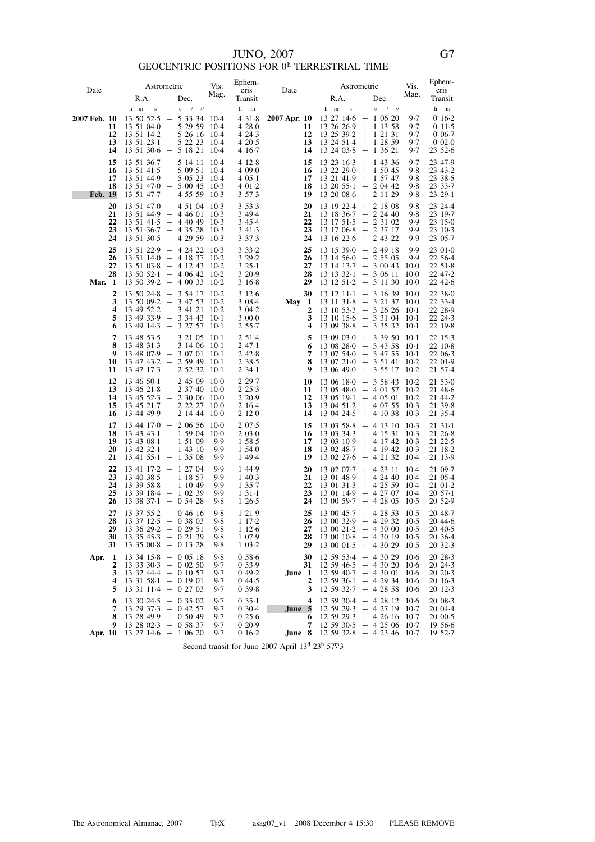## $\,$  JUNO, 2007 $\,$  GEOCENTRIC POSITIONS FOR  $0^{\,\rm h}$  TERRESTRIAL TIME

| Date                     | Astrometric                                                                                                        |                                                | Vis.             | Ephem-                 | Date         |                                | Astrometric                                                    | Vis.             | Ephem-                    |
|--------------------------|--------------------------------------------------------------------------------------------------------------------|------------------------------------------------|------------------|------------------------|--------------|--------------------------------|----------------------------------------------------------------|------------------|---------------------------|
|                          | R.A.                                                                                                               | Dec.                                           | Mag.             | eris<br>Transit        |              | R.A.                           | Dec.                                                           | Mag.             | eris<br>Transit           |
|                          | h m<br>$\mathbf S$                                                                                                 | $\circ$<br>$\overline{1}$<br>$^{\prime\prime}$ |                  | h<br>m                 |              | $h$ m<br>$\,$ s                | $\circ$<br>$\overline{\phantom{a}}$<br>$^{\prime\prime}$       |                  | $^{\rm h}$<br>$\mathbf m$ |
| 2007 Feb. 10             | 13 50 52 5                                                                                                         | $-53334$                                       | 10-4             | 431.8                  | 2007 Apr. 10 |                                | $13\ 27\ 14.6 + 1\ 06\ 20$                                     | 9.7              | $016-2$                   |
| 11<br>12                 | $13\;51\;040\; -\; 5\;29\;59$<br>$13\;51\;14.2\;-\;5\;26\;16$                                                      |                                                | 10-4<br>$10-4$   | 428.0<br>4 24 3        | 11<br>12     | $13\ 25\ 39.2 + 1\ 21\ 31$     | $13\;26\;26.9\;+\;1\;13\;58$                                   | 9.7<br>9.7       | 011.5<br>$0.06 - 7$       |
| 13                       | $13\;51\;23\cdot1\;\;-\;\;5\;22\;23$                                                                               |                                                | $10-4$           | 4 20.5                 | 13           |                                | $13\;24\;51.4$ + 1 28 59                                       | 9.7              | 0020                      |
| 14                       | $13\;51\;30.6\;$ - 5 18 21                                                                                         |                                                | $10-4$           | 4 16 7                 | 14           | 13 24 03 8                     | $+ 13621$                                                      | 9.7              | 23 52.6                   |
| 15<br>16                 | $13\;51\;36.7\;-\;5\;14\;11$<br>$13\;51\;41.5\;$ - 5 09 51                                                         |                                                | $10-4$<br>$10-4$ | 4 12 8<br>4 09 0       | 15<br>16     | 13 23 16 3                     | $+ 14336$<br>$13\ 22\ 29\ 0 + 1\ 50\ 45$                       | 9.7<br>9.8       | 23 47.9<br>23 43.2        |
| 17                       | 13 51 44.9 - 5 05 23                                                                                               |                                                | $10-4$           | $405-1$                | 17           |                                | $13\;21\;41.9\;+\;1\;57\;47$                                   | 9.8              | 23 38 5                   |
| 18<br>Feb. 19            | $13\;51\;470\;$ - 5 00 45<br>$13\;51\;47.7\;-\;4\;55\;59$                                                          |                                                | $10-3$<br>$10-3$ | 4 01 2<br>3 5 7 - 3    | 18<br>19     |                                | $13\ 20\ 55 \cdot 1 + 2\ 04\ 42$<br>$13\ 20\ 08.6 + 2\ 11\ 29$ | 9.8<br>9.8       | 23 33 - 7<br>2329.1       |
| 20                       | $13\;51\;470\; -\;4\;51\;04$                                                                                       |                                                | $10-3$           | 353.3                  | 20           | 13 19 22 4                     | $+ 21808$                                                      | 9.8              | 23 24 4                   |
| 21                       | $13\;51\;44.9\;$ - 4 46 01                                                                                         |                                                | $10-3$           | 3 4 9 - 4              | 21           |                                | $13\ 18\ 36.7$ + 2 24 40                                       | 9.8              | 23 19 - 7                 |
| 22<br>23                 | $13\;51\;41.5\;$ - 4 40 49<br>$13\;51\;36.7\; -\;4\;35\;28$                                                        |                                                | $10-3$<br>$10-3$ | 3 4 5 4<br>3 4 1 - 3   | 22<br>23     | 13 17 51 5<br>13 17 06 8       | $+ 23102$<br>$+ 23717$                                         | 9.9<br>9.9       | 23 15 0<br>23 10 3        |
| 24                       | $13\;51\;30.5\; -\; 4\;29\;59$                                                                                     |                                                | $10-3$           | 3 3 7 - 3              | 24           | 13 16 22 6                     | $+ 24322$                                                      | 9.9              | 23 05 - 7                 |
| 25                       | $13\;51\;22.9\; -\; 4\;24\;22$                                                                                     |                                                | $10-3$           | $33.33 \cdot 2$        | 25           | 13 15 39 0                     | $+ 24918$                                                      | 9.9              | 23010                     |
| 26<br>27                 | $13\;51\;140\; -\;4\;18\;37$<br>$13\;51\;03.8\;\;-\;\;4\;12\;43$                                                   |                                                | $10-2$<br>$10-2$ | 3 29 - 2<br>325.1      | 26<br>27     | 13 14 56 0<br>13 14 13 7       | $+$ 2 55 05<br>$+30043$                                        | 9.9<br>10.0      | 22 56.4<br>$22\;51.8$     |
| 28                       | $13\;50\;52.1\;\;-\;\;4\;06\;42$                                                                                   |                                                | $10-2$           | 3 20.9                 | 28           | 13 13 32 1                     | $+30611$                                                       | -10-0            | 22 47 - 2                 |
| Mar. 1<br>$\overline{2}$ | $13\ 50\ 39.2 - 4\ 00\ 33$                                                                                         |                                                | $10-2$<br>$10-2$ | 3 1 6 8                | 29           | 13 12 51 2                     | $+31130$                                                       | -10-0            | $22\;42.6$                |
| 3                        | $13\;50\;24.8\;\;-\;\;3\;54\;17$<br>$13\ 50\ 09.2$ - 3 47 53                                                       |                                                | $10-2$           | 312.6<br>3 08.4        | 30<br>May 1  | 13 12 11 1<br>13 11 31 8       | $+31639100$<br>$+$ 3 21 37                                     | 10.0             | 22 38 0<br>22 33 4        |
| 4                        | 13 49 52 2 - 3 41 21                                                                                               |                                                | $10-2$           | 3 04.2                 | 2            | 13 10 53 3                     | $+32626$                                                       | -10-1            | 22 28.9                   |
| 5<br>6                   | $13\;49\;33.9\;\;-\;\;3\;34\;43$<br>$13\;49\;14.3\;-\;3\;27\;57$                                                   |                                                | $10-1$<br>$10-1$ | 3000<br>2 5 5 - 7      | 3<br>4       | 13 10 15 6<br>13 09 38 8       | $+33104$<br>$+ 33532$                                          | -10-1<br>$10-1$  | 22 24 3<br>22 19 8        |
| 7                        | 13 48 53 5 - 3 21 05                                                                                               |                                                | $10-1$           | 2 5 1 - 4              | 5            | 13 09 03 0                     | $+$<br>3 39 50                                                 | -10-1            | 22 15 - 3                 |
| 8<br>9                   | $13\;48\;31.3\;$ - 3 14 06                                                                                         |                                                | -10-1<br>$10-1$  | 247.1<br>242.8         | 6<br>7       | 13 08 28 0                     | $+34358$<br>$13\;07\;54\;0\;\;+\;\;3\;47\;55$                  | $10-1$<br>$10-1$ | 22 10 8<br>22 06 3        |
| 10                       | $\begin{array}{rrrr} 13 & 48 & 07 \cdot 9 & - & 3 & 07 & 01 \\ 13 & 47 & 43 \cdot 2 & - & 2 & 59 & 49 \end{array}$ |                                                | $10-1$           | 2 3 8 - 5              | 8            | 13 07 21 0                     | $+35141$                                                       | $10-2$           | 22 01.9                   |
| 11                       | $13\;47\;17.3\;$ - 2 52 32                                                                                         |                                                | $10-1$           | $234-1$                | 9            | 13 06 49 0                     | $+$ 3 55 17                                                    | $10-2$           | 21 57 - 4                 |
| 12<br>13                 | $13\;46\;50.1\;\;-\;\;2\;45\;09$                                                                                   |                                                | $10-0$<br>$10-0$ | 2 29.7<br>2 2 5 - 3    | 10<br>11     | 13 06 18 0                     | $+$ 3 58 43<br>$13\;05\;48\;0\;\;+\;\;4\;01\;57$               | $10-2$<br>$10-2$ | 21 53 0<br>21 48 6        |
| 14                       | $\begin{array}{rrrr} 13 & 46 & 21 \cdot 8 & - & 2 & 37 & 40 \\ 13 & 45 & 52 \cdot 3 & - & 2 & 30 & 06 \end{array}$ |                                                | $10-0$           | 2 2 0 - 9              | 12           | 13 05 19 1                     | $+40501$                                                       | $10-2$           | 21 44 - 2                 |
| 15<br>16                 | $13\;45\;21.7\;-\;2\;22\;27$<br>13 44 49 9 - 2 14 44                                                               |                                                | $10-0$<br>$10-0$ | 2 16 4<br>2 1 2 0      | 13<br>14     | 13 04 24 5                     | 13 04 51 2 + 4 07 55<br>$+41038$                               | $10-3$<br>$10-3$ | 21 39 8<br>21 35.4        |
| 17                       | $13\;44\;170\; - \;2\;06\;56$                                                                                      |                                                | $10-0$           | 207.5                  | 15           | 13 03 58 8                     | $+$ 4 13 10 10 3                                               |                  | 2131.1                    |
| 18<br>19                 | $13\;43\;43.1\;\;-\;\;1\;59\;04$                                                                                   |                                                | $10-0$<br>9.9    | 2 0 3 0<br>1,58.5      | 16<br>17     | 13 03 34 3                     | $+ 41531$                                                      | $10-3$           | 21 26 8<br>21 22 - 5      |
| 20                       | $13\;43\;08.1\;-\;1\;51\;09$<br>$13\;42\;32.1\; - \;1\;43\;10$                                                     |                                                | 9.9              | 1,54.0                 | 18           | 13 03 10 9                     | $+$ 4 17 42<br>$13\ 02\ 48.7 + 4\ 19\ 42$                      | $10-3$<br>$10-3$ | 21 18 2                   |
| 21                       | $13\;41\;55.1\; - \;1\;35\;08$                                                                                     |                                                | 9.9              | 1 49 4                 | 19           | 13 02 27 6                     | $+ 42132$                                                      | -10.4            | 21 13.9                   |
| 22<br>23                 | $13$ 41 $17.2$ - 1 27 04<br>13 40 38 5                                                                             | $-11857$                                       | 9.9<br>9.9       | 1 4 4 - 9<br>1 4 0 - 3 | 20<br>21     | 13 02 07 - 7<br>13 01 48.9     | $+ 42311$<br>$+ 42440$                                         | -10.4<br>-10.4   | 21 09.7<br>21 05.4        |
| 24                       | $13\;39\;58.8\;-\;1\;10\;49$                                                                                       |                                                | 9.9              | 1 35.7                 | 22           |                                | $13 \t01 \t31 \t3 + 4 \t25 \t59 \t10 \t4$                      |                  | 21 01 2                   |
| 25<br>26                 | 13 39 18 4 - 1 02 39<br>$13\;38\;37.1\; -\;0\;54\;28$                                                              |                                                | 9.9<br>9.8       | $131-1$<br>126.5       | 23<br>24     | 13 01 14 9                     | $+$ 4 27 07<br>$13\;00\;59.7\; +\; 4\;28\;05$                  | 10-4<br>$10-5$   | $20\,57.1$<br>20 52.9     |
| 27                       | $13\;37\;55.2\; -0.46\;16$                                                                                         |                                                | 9.8              | 1 2 1 . 9              | 25           | 13 00 45.7                     | $+ 42853$                                                      | $10-5$           | 20 48.7                   |
| 28                       | $13\;37\;12.5\; -0.38\;03$                                                                                         |                                                | 9.8              | 1 17 2                 | 26           |                                | $13\ 00\ 32.9$ + 4 29 32                                       | $10-5$           | 2044.6                    |
| 29<br>30                 | $13\;36\;29.2\; -\;0\;29\;51$<br>$13\;35\;45.3\;\;-\;\;0\;21\;39$                                                  |                                                | 9.8<br>9.8       | 1 1 2 6<br>1 0 7 9     | 28           | 27 13 00 21 2 + 4 30 00 10 - 5 | $13\ 00\ 10.8$ + 4 30 19 10.5                                  |                  | $20\,40.5$<br>20 36 4     |
| 31                       | $13\;35\;00.8\;-\;0\;13\;28$                                                                                       |                                                | 9.8              | $1\,03.2$              | 29           |                                | $13\ 00\ 01.5 + 4\ 30\ 29$                                     | $10-5$           | 20 32 3                   |
| Apr. $1$                 | $13\,34\,15.8 - 0.05\,18$                                                                                          |                                                | 9.8              | 0586                   | 30           |                                | $12\,59\,53.4$ + 4 30 29 10.6                                  |                  | 20 28 3                   |
| 2<br>3                   | $13\;33\;30.3\; + \;0\;02\;50$<br>13 32 44.4 + 0 10 57                                                             |                                                | 9.7<br>9.7       | 0 53.9<br>049.2        | 31<br>June 1 |                                | $12\,59\,46.5 + 4\,30\,20\,10.6$<br>$12\,59\,40.7$ + 4 30 01   | $10-6$           | 20 24 3<br>20 20 3        |
| 4                        | $13\;31\;58.1\;+\;0\;19\;01$<br>$13\;31\;11.4\;+0\;27\;03$                                                         |                                                | 9.7              | 044.5<br>0.39.8        | 2<br>3       | 12 59 36 1                     | $+ 42934$                                                      | $10-6$<br>$10-6$ | 20 16 3<br>20 12 3        |
| 5<br>6                   | $13\ 30\ 24.5 + 0\ 35\ 02$                                                                                         |                                                | 9.7<br>9.7       | $035-1$                | 4            | 12 59 32 7                     | $+ 42858$<br>$12\ 59\ 30.4$ + 4 28 12 10.6                     |                  | 20 08 - 3                 |
| 7                        | $13$ 29 37.3 + 0 42 57                                                                                             |                                                | 9.7              | 030.4                  | June 5       |                                | $12\,59\,29.3$ + 4 27 19 10.7                                  |                  | 20 04.4                   |
| 8<br>9                   | $13\ 28\ 49.9 + 0\ 50\ 49$<br>$13\ 28\ 02.3 + 0.58\ 37$                                                            |                                                | 9.7<br>9.7       | 025.6<br>020.9         | 6<br>7       | 12 59 29 3<br>12 59 30 5       | $+ 42616$<br>$+ 42506$                                         | 10.7<br>$10-7$   | 2000.5<br>19 56 6         |
| Apr. 10                  | $13\ 27\ 14.6 + 1\ 06\ 20$                                                                                         |                                                | 9.7              | $016-2$                | June 8       |                                | $12\,59\,32.8$ + 4 23 46 10.7                                  |                  | 19 52.7                   |

Second transit for Juno 2007 April 13<sup>d</sup> 23<sup>h</sup> 57<sup>m</sup>3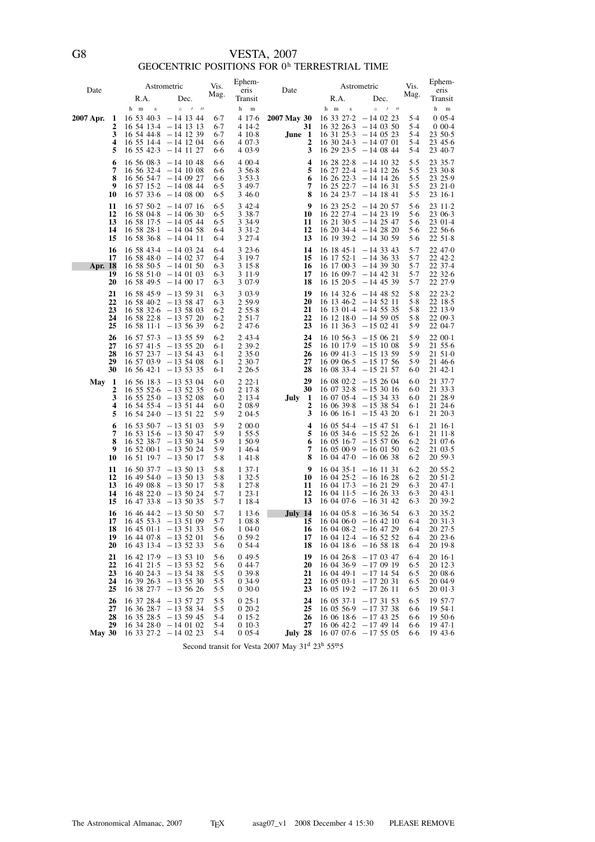# VESTA, 2007<br>GEOCENTRIC POSITIONS FOR  $0^{\rm h}$  TERRESTRIAL TIME

| Date      |                            | R.A.                                                                   | Astrometric<br>Dec.                                                                                                                                        | Vis.<br>Mag.                              | Ephem-<br>eris<br>Transit                                      | Date                                       | R.A.                                             | Astrometric<br>Dec.                                                                                                                                    | Vis.<br>Mag.                        | Ephem-<br>eris<br>Transit                                                   |
|-----------|----------------------------|------------------------------------------------------------------------|------------------------------------------------------------------------------------------------------------------------------------------------------------|-------------------------------------------|----------------------------------------------------------------|--------------------------------------------|--------------------------------------------------|--------------------------------------------------------------------------------------------------------------------------------------------------------|-------------------------------------|-----------------------------------------------------------------------------|
| 2007 Apr. | 1<br>2<br>3<br>4<br>5      | h m<br>$\,$ s<br>16 53 40 3                                            | $0$ / //<br>-14 13 44<br>$16\ 54\ 13.4\ -14\ 13\ 13$<br>$16\,54\,44.8\,-14\,12\,39$<br>$16\ 55\ 14.4 - 14\ 12\ 04$<br>$16\;55\;42.3\;$ - 14 11 27          | 6.7<br>$6-7$<br>6.7<br>6.6<br>6.6         | h<br>m<br>4 17 6<br>4 14 2<br>4 10 8<br>4 0 7 - 3<br>4 0 3 - 9 | 2007 May 30<br>31<br>June 1<br>2<br>3      | h m<br>$\,$ s<br>16 33 27 2                      | $\circ$<br>$1$ $1$<br>$-14$ 02 23<br>$16\,32\,26.3\,-14\,03\,50$<br>$16\ 31\ 25.3\ -14\ 05\ 23$<br>$16\ 30\ 24.3\ -14\ 07\ 01$<br>$162923.5 - 140844$  | 5.4<br>5.4<br>5.4<br>5.4<br>5.4     | h<br>${\bf m}$<br>$0.05 - 4$<br>$000-4$<br>23 50 5<br>$23\,45.6$<br>23 40 7 |
|           | 6<br>7<br>8<br>9<br>10     |                                                                        | $16\ 56\ 08.3 - 14\ 10\ 48$<br>$16\ 56\ 32.4\ -14\ 10\ 08$<br>$16\;56\;54.7\;$ - 14 09 27<br>$16\ 57\ 15.2\ -14\ 08\ 44$<br>$16\ 57\ 33.6 - 14\ 08\ 00$    | 6.6<br>6.6<br>6.6<br>6.5<br>6.5           | 4 0 0 - 4<br>3568<br>3 5 3 - 3<br>3 49.7<br>3460               | 4<br>5<br>6<br>7<br>8                      | 16 28 22 8                                       | $-14$ 10 32<br>$16\ 27\ 22.4\ -14\ 12\ 26$<br>$16\ 26\ 22.3 - 14\ 14\ 26$<br>$16\ 25\ 22.7\ -14\ 16\ 31$<br>$16$ 24 23.7 $-14$ 18 41                   | 5.5<br>5.5<br>5.5<br>5.5<br>5.5     | 23 35 - 7<br>23 30 8<br>23 25.9<br>23210<br>$2316-1$                        |
|           | 11<br>12<br>13<br>14<br>15 |                                                                        | $16\ 57\ 50.2\ -14\ 07\ 16$<br>$16\ 58\ 04.8 - 14\ 06\ 30$<br>$16\;58\;17.5\;$ - 14 05 44<br>$16\ 58\ 28.1 - 14\ 04\ 58$<br>$16\ 58\ 36.8$ - 14 04 11      | 6.5<br>65<br>6.5<br>6.4<br>6.4            | 342.4<br>3 3 8 - 7<br>3 34.9<br>331.2<br>3 2 7 - 4             | 9<br>10<br>11<br>12<br>13                  | 162325.2                                         | $-142057$<br>$16$ 22 27.4 $-14$ 23 19<br>$16\ 21\ 30.5\ -14\ 25\ 47$<br>$16\ 20\ 34.4 - 14\ 28\ 20$<br>$16$ 19 39 $\cdot$ 2 - 14 30 59                 | 5.6<br>5.6<br>5.6<br>5.6<br>5.6     | 23 11 2<br>23 06 3<br>23 01 4<br>22 56 6<br>$22\;51.8$                      |
| Apr. 18   | 16<br>17<br>19<br>20       |                                                                        | $165843.4 - 140324$<br>$16\ 58\ 48.0\ -14\ 02\ 37$<br>$16\ 58\ 50.5\ -14\ 01\ 50$<br>$1658510 - 140103$<br>$16\ 58\ 49.5\ -14\ 00\ 17$                     | 6.4<br>6.4<br>$6-3$<br>6.3<br>$6-3$       | 323.6<br>3 19 7<br>315.8<br>3 1 1 - 9<br>3 0 7 9               | 14<br>15<br>16<br>17<br>18                 | $161845-1$<br>$16$ 17 52 $\cdot$ 1<br>16 17 00 3 | $-143343$<br>$-14$ 36 33<br>$-143930$<br>$16 \t16 \t09.7 - 14 \t42 \t31$<br>$16 \t15 \t20.5 - 14 \t45 \t39$                                            | 5.7<br>5.7<br>5.7<br>5.7<br>5.7     | 22 47.0<br>22 42 2<br>22 37 - 4<br>2232.6<br>22 27.9                        |
|           | 21<br>22<br>23<br>24<br>25 |                                                                        | $16\ 58\ 45.9$ - 13 59 31<br>$16\ 58\ 40.2\ -13\ 58\ 47$<br>$16\ 58\ 32.6\ -13\ 58\ 03$<br>$16\ 58\ 22.8\ -13\ 57\ 20$<br>$165811 \cdot 1 - 135639$        | $6-3$<br>$6-3$<br>$6-2$<br>$6-2$<br>$6-2$ | 3 0 3 9<br>2 5 9 . 9<br>255.8<br>2 51.7<br>2 4 7 6             | 19<br>20<br>21<br>22<br>23                 |                                                  | $16$ 14 32.6 $-14$ 48 52<br>$16$ 13 46.2 $-14$ 52 11<br>$16$ 13 01.4 $-14$ 55 35<br>$16\ 12\ 18.0\ -14\ 59\ 05$<br>$16\ 11\ 36.3\ -15\ 02\ 41$         | 5.8<br>5.8<br>5.8<br>5.8<br>5.9     | 22 23 2<br>22 18 - 5<br>22 13.9<br>22 09.3<br>22 04.7                       |
|           | 26<br>27<br>28<br>29<br>30 |                                                                        | $16\;57\;57.3\; -13\;55\;59$<br>$16\ 57\ 41.5\ -13\ 55\ 20$<br>$16\;57\;23.7\;$ -13 54 43<br>$16\ 57\ 03.9\ -13\ 54\ 08$<br>$16\ 56\ 42.1\ -13\ 53\ 35$    | $6-2$<br>6-1<br>$6-1$<br>6-1<br>6-1       | 2 4 3 - 4<br>2 3 9 - 2<br>235.0<br>2 3 0 - 7<br>2, 26.5        | 24<br>25<br>26<br>27<br>28                 |                                                  | $16\ 10\ 56.3\ -15\ 06\ 21$<br>$16\ 10\ 17.9\ -15\ 10\ 08$<br>$160941.3 - 151359$<br>$160906.5 - 151756$<br>$16\;08\;33.4\;$ - 15 21 57                | 5.9<br>5.9<br>5.9<br>5.9<br>6.0     | 22 00 1<br>21 55.6<br>21 51 0<br>21 46 6<br>2142.1                          |
| May 1     | 2<br>3<br>4<br>5           |                                                                        | $16\ 56\ 18.3\ -13\ 53\ 04$<br>$16\;55\;52.6\;$ - 13 52 35<br>$16\;55\;25.0\;-13\;52\;08$<br>16 54 55 4 - 13 51 44<br>$16\;54\;240\;$ - 13 51 22           | 6.0<br>$6 - 0$<br>$6-0$<br>6.0<br>5.9     | 22.1<br>2 17 8<br>2 1 3 4<br>2 0 8 9<br>2 04 5                 | 29<br>30<br>July<br>$\mathbf{1}$<br>2<br>3 | 16 08 02.2                                       | $-152604$<br>$16\ 07\ 32.8\ -15\ 30\ 16$<br>$16\ 07\ 05.4$ - 15 34 33<br>$16\,06\,39.8$ -15 38 54<br>$16\;06\;16.1\;$ -15 43 20                        | 6.0<br>6.0<br>6.0<br>6-1<br>6-1     | 21 37 - 7<br>21 33 3<br>21 28.9<br>21 24 6<br>21 20 3                       |
|           | 6<br>7<br>8<br>9<br>10     | $165200 \cdot 1$                                                       | $16\ 53\ 50.7\ -13\ 51\ 03$<br>$16\ 53\ 15.6\ -13\ 50\ 47$<br>$165238.7 - 135034$<br>$-135024$<br>$16\;51\;19.7\;$ -13 50 17                               | 5.9<br>5.9<br>5.9<br>5.9<br>5.8           | 2000<br>1, 55.5<br>1 50.9<br>1 4 6 4<br>1418                   | 4<br>5<br>6<br>7<br>8                      |                                                  | $16\;05\;54.4\; -15\;47\;51$<br>$16\;05\;34.6\;$ - 15 52 26<br>$16\;05\;16.7\; -15\;57\;06$<br>$16\;05\;00.9$ -16 01 50<br>$16\,04\,47.0\,-16\,06\,38$ | 6-1<br>6-1<br>$6-2$<br>6.2<br>$6-2$ | 21 16 1<br>21 11 8<br>21 07 6<br>21 03 5<br>20 59 3                         |
|           | 11<br>12<br>13<br>14<br>15 |                                                                        | $16\ 50\ 37.7 - 13\ 50\ 13$<br>$1649540 - 135013$<br>$164908 \cdot 8 - 135017$<br>$164822 \cdot 0 - 135024$<br>$16\;47\;33.8\;$ - 13 50 35                 | 5.8<br>5.8<br>5.8<br>5.7<br>$5-7$         | $137-1$<br>132.5<br>127.8<br>123.1<br>1 18 4                   | 9<br>10<br>11<br>12<br>13                  | $160435-1$<br>16 04 25 2                         | $-16$ 11 31<br>$-16$ 16 28<br>$160417.3 - 162129$<br>$16\;04\;11.5\;$ -16 26 33<br>$160407.6 - 163142$                                                 | $6-2$<br>$6-2$<br>6.3<br>6.3<br>6.3 | 20, 55.2<br>20 51.2<br>2047.1<br>2043.1<br>20 39 2                          |
|           | 16<br>18<br>19<br>20       | $17 \t16 \t45 \t53 \t-13 \t51 \t09$<br>$16\;45\;01\cdot1\;$ - 13 51 33 | $16\;46\;44.2\;$ - 13 50 50<br>$164407.8 - 135201$<br>$16$ 43 13.4 $-13$ 52 33                                                                             | 5.7<br>5.7<br>5.6<br>5.6<br>5.6           | 113.6<br>1 08.8<br>1040<br>0.59.2<br>054.4                     | July 14<br>16<br>17<br>18                  | 15 16 04 06 0 $-16$ 42 10<br>$160408.2 - 164729$ | $160405.8 - 163654$<br>$160412.4 - 165252$<br>$160418.6 - 165818$                                                                                      | 6.3<br>$6-4$<br>6.4<br>6.4<br>6.4   | 20 35 - 2<br>2031.3<br>20 27.5<br>20 23 6<br>20 19 - 8                      |
|           | 21<br>22<br>23<br>24<br>25 |                                                                        | $16$ 42 17.9 $-13$ 53 10<br>$16\;41\;21\;5\;$ -13 53 52<br>$16\ 40\ 24.3\ -13\ 54\ 38$<br>$16$ 39 $26.3$ -13 55 30<br>$16$ 38 27.7 $-13$ 56 26             | 5.6<br>5.6<br>5.5<br>5.5<br>5.5           | 049.5<br>044.7<br>0.39.8<br>0 3 4 9<br>0,30.0                  | 19<br>20<br>21<br>22<br>23                 | 1604268                                          | $-170347$<br>$160436.9 - 170919$<br>$160449 \cdot 1 - 171454$<br>$16\;05\;03.1\; -17\;20\;31$<br>$16\;05\;19.2\;$ -17 26 11                            | 6.4<br>6.5<br>6.5<br>6.5<br>6.5     | $2016-1$<br>20 12 3<br>20 08 6<br>20 04.9<br>2001.3                         |
| May 30    | 26<br>27<br>28<br>29       |                                                                        | $16\,37\,28.4\; -13\,57\,27$<br>$16\,36\,28.7\; -13\,58\,34$<br>$16\,35\,28.5\,-13\,59\,45$<br>$16$ 34 28 $\cdot$ 0 - 14 01 02<br>$16$ 33 27.2 $-14$ 02 23 | 5.5<br>5.5<br>5.4<br>5.4<br>5.4           | $025-1$<br>020.2<br>015.2<br>010.3<br>$0.05-4$                 | 24<br>25<br>26<br>27<br>July 28            | $160537-1$                                       | $-173153$<br>$16\;05\;56.9\;$ - 17 37 38<br>$16\;06\;18.6\; -17\;43\;25$<br>$160642.2 - 174914$<br>$16\ 07\ 07.6$ - 17 55 05                           | 6.5<br>6.6<br>6.6<br>6.6<br>6.6     | 19 57.7<br>1954.1<br>19506<br>1947.1<br>19 43.6                             |

Second transit for Vesta 2007 May  $31^d$   $23^h$   $55^m$ 5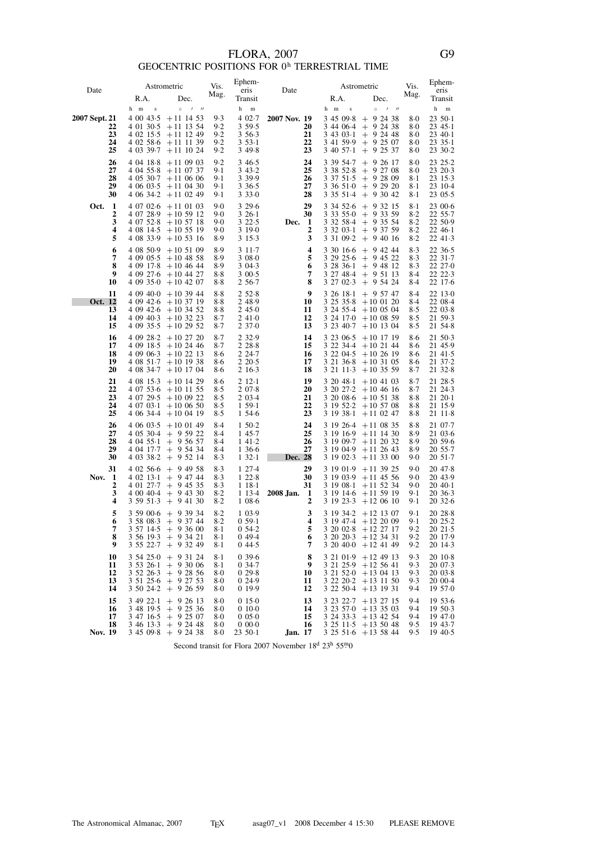## FLORA, 2007<br>GEOCENTRIC POSITIONS FOR  $0^{\rm h}$  TERRESTRIAL TIME

| Date          |                                        |                                                  | Astrometric                                                                                                                                                             | Vis.                                  | Ephem-<br>eris                                                   | Date                                   |                                      | Astrometric                                                                                                                                             | Vis.                              | Ephem-<br>eris                                                       |
|---------------|----------------------------------------|--------------------------------------------------|-------------------------------------------------------------------------------------------------------------------------------------------------------------------------|---------------------------------------|------------------------------------------------------------------|----------------------------------------|--------------------------------------|---------------------------------------------------------------------------------------------------------------------------------------------------------|-----------------------------------|----------------------------------------------------------------------|
|               |                                        | R.A.                                             | Dec.                                                                                                                                                                    | Mag.                                  | Transit                                                          |                                        | R.A.                                 | Dec.                                                                                                                                                    | Mag.                              | Transit                                                              |
| 2007 Sept. 21 | 22<br>23<br>24<br>25                   | h m<br>$\bf{s}$<br>4 00 43.5                     | $\circ$<br>$1$ $11$<br>$+11$ 14 53<br>$40130.5 + 111354$<br>$40215.5 + 111249$<br>$4\,02\,58\cdot6\, +11\,11\,39$<br>$4\,03\,39.7$ + 11 10 24                           | 9.3<br>9.2<br>9.2<br>9.2<br>9.2       | h<br>$\,$ m<br>4 02.7<br>3 59.5<br>3 5 6 - 3<br>353.1<br>3 4 9 8 | 2007 Nov. 19<br>20<br>21<br>22<br>23   | $\bf{s}$<br>h m<br>3 45 09.8         | $\circ$<br>$1$ $11$<br>$+92438$<br>$3\;44\;06.4$ + 9 24 38<br>$3\;43\;03.1$ + 9 24 48<br>$3\;41\;59.9\;+\;9\;25\;07$<br>$3\;40\;57.1\;\;+\;\;9\;25\;37$ | 8.0<br>8.0<br>8.0<br>8.0<br>8.0   | h<br>$\,$ m<br>23 50 - 1<br>23 45 1<br>$2340-1$<br>2335.1<br>23 30 2 |
|               | 26<br>27<br>28<br>29<br>30             | 4 04 18 8<br>4 04 55 8                           | $+110903$<br>$+11$ 07 37<br>$4\,05\,30.7$ + 11 06 06<br>$4\,06\,03.5$ + 11 04 30<br>$4\,06\,34.2$ + 11 02 49                                                            | 9.2<br>9.1<br>9.1<br>9.1<br>9.1       | 3 4 6 - 5<br>3 43.2<br>3 3 9 . 9<br>3 3 6 - 5<br>3330            | 24<br>25<br>26<br>27<br>28             | 3 39 54.7<br>3 38 52 8               | $+92617$<br>$+92708$<br>$3\;37\;51.5\;+9\;28\;09$<br>$3\;36\;51\;0\;\;+\;\;9\;29\;20$<br>$3\;35\;51.4$ + 9 30 42                                        | 8.0<br>8.0<br>8-1<br>8-1<br>8-1   | 23 25 - 2<br>23 20 3<br>23 15 - 3<br>23 10 4<br>2305.5               |
| Oct.          | 1<br>$\boldsymbol{2}$<br>3<br>4<br>5   |                                                  | $40702.6 + 110103$<br>$4\ 07\ 28.9\ +10\ 59\ 12$<br>$4\ 07\ 52.8\ +10\ 57\ 18$<br>$4\,08\,14.5$ + 10 55 19<br>$4\,08\,33.9$ + 10 53 16                                  | 9.0<br>9.0<br>9.0<br>9.0<br>8.9       | 3 2 9 6<br>$326-1$<br>3 2 2 5<br>3190<br>3 1 5 - 3               | 29<br>30<br>Dec.<br>-1<br>2<br>3       | 3 34 5 2 6<br>3 32 03 1              | $+$ 9 32 15<br>$3\;33\;55.0\; + \;9\;33\;59$<br>$3\,32\,58.4$ + 9 35 54<br>$+93759$<br>$3\ 31\ 09.2 + 9\ 40\ 16$                                        | 8-1<br>8.2<br>8.2<br>8.2<br>8.2   | 23 00.6<br>22 55.7<br>22 50 9<br>22 46 1<br>22 41 3                  |
|               | 6<br>7<br>8<br>9<br>10                 | 4 09 17.8                                        | $4\,08\,50.9$ + 10 51 09<br>$4\,09\,05.5$ + 10 48 58<br>$+10$ 46 44<br>$4\,09\,27.6\; + 10\,44\,27$<br>$4\,09\,35.0 + 10\,42\,07$                                       | 8.9<br>8.9<br>8.9<br>8.8<br>$8-8$     | 311.7<br>3 08 0<br>3 04.3<br>300.5<br>2 5 6 - 7                  | 4<br>5<br>6<br>7<br>8                  | 3 30 16 6<br>32836.1<br>3 27 02.3    | $+94244$<br>$3\,29\,25.6\; +\; 9\,45\,22$<br>$+$ 9 48 12<br>3 27 48 4 + 9 51 13<br>$+$ 9 54 24                                                          | 8.3<br>8.3<br>8.3<br>8.4<br>8.4   | 22 36 5<br>22 31 7<br>22 27 0<br>22 22 3<br>22 17 6                  |
| Oct. 12       | 11<br>13<br>14<br>15                   | 4 09 40.3                                        | $409400 + 103944$<br>$409426 + 103719$<br>4 09 42.6 + 10 34 52<br>$+103223$<br>$4\,09\,35.5$ + 10 29 52                                                                 | 8.8<br>8.8<br>8.8<br>8.7<br>$8-7$     | 252.8<br>2 48.9<br>245.0<br>241.0<br>237.0                       | 9<br>10<br>11<br>12<br>13              | 32618.1<br>325358                    | $+$ 9 57 47<br>$+100120$<br>$3\,24\,55.4$ + 10 05 04<br>$3\ 24\ 17.0 + 10\ 08\ 59$<br>$3\ 23\ 40.7$ + 10 13 04                                          | 8.4<br>8.4<br>8.5<br>8.5<br>8.5   | 22 13 0<br>22 08 4<br>2203.8<br>21 59 3<br>21 54 8                   |
|               | 16<br>17<br>18<br>19<br>20             | 4 09 28 2<br>4 09 18 5<br>4 09 06 3<br>4 08 51 7 | $+102720$<br>$+102446$<br>$+102213$<br>$+101938$<br>$4\,08\,34.7$ + 10 17 04                                                                                            | $8-7$<br>$8-7$<br>8.6<br>8.6<br>8.6   | 2 3 2 . 9<br>2 2 8 8<br>2 24 7<br>2 2 0 - 5<br>2 16 3            | 14<br>15<br>16<br>17<br>18             | 3 23 06 5                            | $+10$ 17 19<br>$322344 + 102144$<br>$32204.5 + 102619$<br>$3\ 21\ 36.8$ + 10 31 05<br>$3\ 21\ 11 \cdot 3\ + 10\ 35\ 59$                                 | 8.6<br>8.6<br>8.6<br>8.6<br>8.7   | 21 50 3<br>21 45.9<br>21 41 5<br>21 37 2<br>21 32.8                  |
|               | 21<br>22<br>23<br>24<br>25             | 4 07 29 5<br>4 06 34 4                           | $4\,08\,15.3$ + 10 14 29<br>$4\ 07\ 53.6\ +10\ 11\ 55$<br>$+100922$<br>$4\ 07\ 03.1 + 10\ 06\ 50$<br>$+100419$                                                          | 8.6<br>8.5<br>8.5<br>8.5<br>8.5       | $212-1$<br>207.8<br>2 0 3 - 4<br>1, 59.1<br>1 54 6               | 19<br>20<br>21<br>22<br>23             | 32048.1<br>3 19 38 1                 | $+10$ 41 03<br>$3\ 20\ 27.2$ + 10 46 16<br>$3\ 20\ 08.6\ +10\ 51\ 38$<br>$3\ 19\ 52.2$ + 10 57 08<br>$+11$ 02 47                                        | 8.7<br>8.7<br>8.8<br>8.8<br>8.8   | 21 28.5<br>21 24 3<br>21 20 1<br>21 15.9<br>$21 \; 11 \; 8$          |
|               | 26<br>27<br>28<br>29<br>30             | 4 06 03.5<br>4 04 17 7<br>4 03 38 2              | $+100149$<br>$4\,05\,30.4$ + 9.59 22<br>$4\,04\,55.1$ + 9 56 57<br>$+$ 9 54 34<br>$+$ 9 52 14                                                                           | $8-4$<br>8.4<br>$8-4$<br>8.4<br>$8-3$ | 1,50.2<br>1 45.7<br>141.2<br>1 3 6 6<br>132.1                    | 24<br>25<br>26<br>27<br>Dec. 28        | 3 19 26 4<br>3 19 16 9<br>3 19 04 9  | $+11$ 08 35<br>$+11$ 14 30<br>$3\ 19\ 09.7$ + 11 20 32<br>$+11$ 26 43<br>$3\ 19\ 02.3$ + 11 33 00                                                       | 8.8<br>8.9<br>8.9<br>8.9<br>9.0   | 21 07 - 7<br>21 03 6<br>20 59.6<br>20 55.7<br>20 51.7                |
| Nov.          | 31<br>-1<br>$\boldsymbol{2}$<br>3<br>4 | 4 01 27 7<br>4 00 40 4                           | $402566 + 94958$<br>$4\ 02\ 13.1 + 9\ 47\ 44$<br>$+$ 9 45 35<br>$+$ 9 43 30<br>$3\;59\;51\cdot3\;\;+\;\;9\;41\;30$                                                      | 8.3<br>$8-3$<br>8.3<br>$8-2$<br>$8-2$ | 127.4<br>122.8<br>118.1<br>1 13 4<br>1 0 8 6                     | 29<br>30<br>31<br>2008 Jan. 1<br>2     | 3 19 0 1.9<br>3 19 08 1<br>3 19 14 6 | $+11$ 39 25<br>$3\ 19\ 03.9$ + 11 45 56<br>$+11$ 52 34<br>$+115919$<br>$31923.3 + 120610$                                                               | 9.0<br>9.0<br>9.0<br>9.1<br>9-1   | 20 47.8<br>20 43.9<br>$20\,40.1$<br>20 36 3<br>20 32 6               |
|               | 5<br>6<br>7<br>8<br>9                  |                                                  | $3\;59\;00.6\;\;+\;\;9\;39\;34$<br>$3\;58\;08.3\;\;+\;\;9\;37\;44$<br>$3\;57\;14.5\;+\;9\;36\;00$<br>$3\;56\;19\cdot3\;\;+\;\;9\;34\;21$<br>$3\;55\;22.7\;+\;9\;32\;49$ | $8-2$<br>$8-2$<br>$8-1$<br>8.1<br>8-1 | 1 0 3 . 9<br>$0.59-1$<br>0.54.2<br>049.4<br>044.5                | 3<br>4<br>5<br>6<br>7                  |                                      | $3\ 19\ 34.2$ + 12 13 07<br>$31947.4 + 122009$<br>3 20 02 8 + 12 27 17<br>$3\ 20\ 20.3$ + 12 34 31<br>$320400 + 124149$                                 | 9.1<br>$9-1$<br>9.2<br>9.2<br>9.2 | 20 28 8<br>20 25 2<br>20 21 - 5<br>20 17 9<br>20 14 3                |
|               | 10<br>11<br>12<br>13<br>14             |                                                  | $3\;54\;25\cdot 0\;\;+\;\;9\;31\;24$<br>$3\;53\;26.1\;+9\;30\;06$<br>$3\;52\;26\cdot3\;\;+\;\;9\;28\;56$<br>$3\;51\;25\;6\;+\;9\;27\;53$<br>$3\;50\;24.2\;+\;9\;26\;59$ | 8-1<br>8.1<br>8.0<br>8.0<br>8.0       | 0396<br>0,34.7<br>029.8<br>0 24.9<br>0 19.9                      | 8<br>9<br>10<br>11<br>12               |                                      | $3\ 21\ 01.9$ + 12 49 13<br>3 21 25 9 + 12 56 41<br>$3\ 21\ 52 \cdot 0 + 13\ 04\ 13$<br>$3\ 22\ 20.2$ + 13 11 50<br>$32250.4 + 131931$                  | 9.3<br>9.3<br>9.3<br>9.3<br>9.4   | 20 10 8<br>20 07 - 3<br>2003.8<br>20 00 4<br>19 57.0                 |
| Nov. 19       | 15<br>16<br>17<br>18                   |                                                  | $3\;49\;22.1\;+\;9\;26\;13$<br>$3\;48\;19.5\;+\;9\;25\;36$<br>$3\;47\;16.5\;+\;9\;25\;07$<br>$3\;46\;13.3\;\;+\;\;9\;24\;48$<br>$3\;45\;09.8$ + 9 24 38                 | 8.0<br>8.0<br>8.0<br>8.0<br>8.0       | 015.0<br>0100<br>$0.05 - 0.0$<br>0 000<br>23 50 - 1              | 13<br>14<br>15<br>16<br><b>Jan.</b> 17 |                                      | $3\ 23\ 22.7$ + 13 27 15<br>$3\ 23\ 57.0 + 13\ 35\ 03$<br>$3\,24\,33.3$ + 13 42 54<br>$3\ 25\ 11.5$ + 13 50 48<br>$3\; 25\; 51 \cdot 6\; +13\; 58\; 44$ | 9.4<br>9.4<br>9.4<br>9.5<br>9.5   | 1953.6<br>19 50 3<br>19 47.0<br>19 43.7<br>$19\,40.5$                |

Second transit for Flora 2007 November 18<sup>d</sup> 23<sup>h</sup> 55<sup>m</sup>0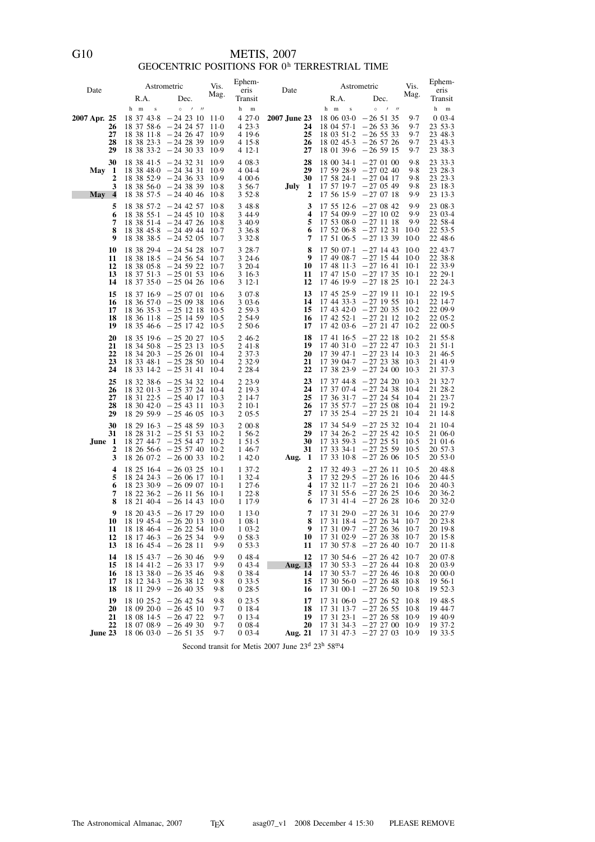## $$\tt METIS,$  2007 $$\tt GEOCENTRIC~POSITIONS$  FOR  $0^{\text{h}}$  TERRESTRIAL TIME

| Date                                                      | R.A.                                                           | Astrometric<br>Dec.                                                                                                                                           | Vis.<br>Mag.                                   | Ephem-<br>eris<br>Transit                                | Date                                        | R.A.                                                                 | Astrometric<br>Dec.                                                                                                          | Vis.<br>Mag.                                  | Ephem-<br>eris<br>Transit                                                |
|-----------------------------------------------------------|----------------------------------------------------------------|---------------------------------------------------------------------------------------------------------------------------------------------------------------|------------------------------------------------|----------------------------------------------------------|---------------------------------------------|----------------------------------------------------------------------|------------------------------------------------------------------------------------------------------------------------------|-----------------------------------------------|--------------------------------------------------------------------------|
| 2007 Apr. 25<br>26<br>27<br>28<br>29                      | $\,$ s<br>h m<br>18 37 43 8                                    | $\prime$ $\prime$<br>$\circ$<br>$-242310$<br>$18\,37\,58.6\,-24\,24\,57$<br>$18$ 38 $11.8$ - 24 26 47<br>$18$ 38 23.3 $-24$ 28 39<br>$18$ 38 33.2 $-24$ 30 33 | -11-0<br>$11-0$<br>10.9<br>10.9<br>10.9        | m<br>h<br>427.0<br>423.3<br>4 19 6<br>4 15 8<br>4 12 1   | 2007 June 23<br>24<br>25<br>26<br>27        | h m<br>$\bf{s}$<br>18 06 03 0<br>18 03 51 2<br>18 02 45 3            | $\circ$<br>$1$ $1$<br>$-265135$<br>$180457 \cdot 1 - 265336$<br>$-26533$<br>$-26,57,26$<br>$18$ 01 39.6 $-26$ 59 15          | 9.7<br>9.7<br>9.7<br>9.7<br>9.7               | h<br>${\bf m}$<br>$0.03 - 4$<br>23 53 3<br>23 48 3<br>23 43 3<br>23 38 3 |
| 30<br>May <sub>1</sub><br>2<br>3<br>May<br>$\overline{4}$ |                                                                | $18$ 38 41.5 $-24$ 32 31<br>$18$ 38 48 0 $-24$ 34 31<br>$18$ 38 52.9 $-24$ 36 33<br>$18$ 38 56 0 $-24$ 38 39<br>$18$ 38 57.5 $-24$ 40 46                      | 10.9<br>10.9<br>10.9<br>$10-8$<br>$10-8$       | 4 08 3<br>4 04 4<br>400.6<br>3 5 6 - 7<br>352.8          | 28<br>29<br>30<br>July 1<br>2               | 18 00 34 - 1<br>17 59 28.9<br>17 58 24 1<br>17 57 19 7<br>17 56 15.9 | $-270100$<br>$-270240$<br>$-270417$<br>$-270549$<br>$-270718$                                                                | 9.8<br>9.8<br>9.8<br>9.8<br>9.9               | 23 33 3<br>23 28 3<br>23 23 3<br>23 18 3<br>23 13 3                      |
| 5<br>6<br>7<br>8<br>9                                     | 18 38 55 1                                                     | $18$ 38 57.2 $-24$ 42 57<br>$-24$ 45 10<br>$18$ 38 51.4 $-24$ 47 26<br>$18$ 38 45.8 $-24$ 49 44<br>$18$ 38 38 5 $-24$ 52 05                                   | $10-8$<br>$10-8$<br>$10-8$<br>$10-7$<br>$10-7$ | 348.8<br>3 4 4 - 9<br>3 4 0 . 9<br>3,36.8<br>3328        | 3<br>$\overline{\mathbf{4}}$<br>5<br>6<br>7 | 17 55 12.6<br>17 52 06 8<br>17 51 06.5                               | $-270842$<br>$17,54,09.9 - 27,10,02$<br>$17\;53\;080\; -27\;11\;18$<br>$-271231$<br>$-271339$                                | 9.9<br>9.9<br>9.9<br>$10-0$<br>$10-0$         | 23 08 - 3<br>23 03 4<br>22 58 4<br>22 53 5<br>22 48 6                    |
| 10<br>11<br>12<br>13<br>14                                |                                                                | $18$ 38 29.4 $-24$ 54 28<br>$18\,38\,18.5\,-24\,56\,54$<br>$183805.8 - 245922$<br>$18\,37\,51.3\; -25\,01\,53$<br>$18\,37\,35.0\; -25\,04\,26$                | $10-7$<br>$10-7$<br>$10-7$<br>$10-6$<br>$10-6$ | 3 28 - 7<br>3246<br>3 20 4<br>3 16 3<br>312.1            | 8<br>9<br>10<br>11<br>12                    | 17 50 07 - 1<br>17 49 08 7<br>17 48 11 3<br>17 47 15 0               | $-27$ 14 43<br>$-271544$<br>$-271641$<br>$-27$ 17 35<br>$17\;46\;19.9\; -27\;18\;25$                                         | $10-0$<br>10.0<br>$10-1$<br>$10-1$<br>$10-1$  | 22 43.7<br>22 38 8<br>22 33.9<br>22 29 - 1<br>22 24 3                    |
| 15<br>16<br>17<br>18<br>19                                |                                                                | $18\,37\,16.9\; -25\,07\,01$<br>$18,36,57.0 - 25,09,38$<br>$18\,36\,35.3\; -25\,12\,18$<br>$18\,36\,11\cdot8\ -25\,14\,59$<br>$18\,35\,46.6\,-25\,17\,42$     | $10-6$<br>$10-6$<br>10.5<br>$10-5$<br>$10-5$   | 307.8<br>303.6<br>2 59.3<br>2 54.9<br>2 50.6             | 13<br>14<br>15<br>16<br>17                  | 17 45 25.9<br>17 44 33 3<br>17 43 42 0<br>$174252-1$<br>17 42 03 6   | $-271911$<br>$-271955$<br>$-272035$<br>$-272112$<br>$-27\;21\;47$                                                            | $10-1$<br>$10-1$<br>10.2<br>$10-2$<br>$10-2$  | 22 19 - 5<br>22 14.7<br>22 09.9<br>22 05 - 2<br>22 00 5                  |
| 20<br>21<br>22<br>23<br>24                                |                                                                | $18$ 35 19.6 $-25$ 20 27<br>$18\,34\,50.8$ $-25\,23\,13$<br>$18\,34\,20.3\; -25\,26\,01$<br>$18$ 33 48 1 - 25 28 50<br>$18$ 33 $14.2$ $-25$ 31 41             | $10-5$<br>$10-5$<br>$10-4$<br>$10-4$<br>$10-4$ | 246.2<br>241.8<br>2 3 7 - 3<br>2 3 2 . 9<br>2 2 8 - 4    | 18<br>19<br>20<br>21<br>22                  | 173947.1<br>17 39 04 7<br>17 38 23 9                                 | $17\;41\;16.5\; -27\;22\;18$<br>$17\;40\;31\;0\;-27\;22\;47$<br>$-272314$<br>$-272338$<br>$-272400103$                       | $10-2$<br>$10-3$<br>$10-3$<br>$10-3$          | 21 55.8<br>$2151-1$<br>21 46 5<br>21 41 9<br>21 37 3                     |
| 25<br>26<br>27<br>28<br>29                                |                                                                | $18$ 32 38.6 $-25$ 34 32<br>$18$ 32 01.3 $-25$ 37 24<br>$18$ 31 22.5 $-25$ 40 17<br>$18$ 30 42.0 $-25$ 43 11<br>$182959.9 - 254605$                           | $10-4$<br>10.4<br>$10-3$<br>$10-3$<br>$10-3$   | 2 2 3 . 9<br>2 19 3<br>2 14 7<br>$210-1$<br>205.5        | 23<br>24<br>25<br>26<br>27                  | 17 37 44 - 8<br>17 37 07 4<br>17 36 31 7<br>17 35 57 7<br>17 35 25 4 | $-272420$<br>$-27$ 24 38<br>$-27$ 24 54 10.4<br>$-272508$<br>$-272521$                                                       | $10-3$<br>-10.4<br>-10-4<br>$10-4$            | 21 32.7<br>21 28 2<br>21 23 7<br>21 19 2<br>21 14 8                      |
| 30<br>31<br>June 1<br>2<br>3                              |                                                                | $18\ 29\ 16.3\ -25\ 48\ 59$<br>$18\ 28\ 31.2\ -25\ 51\ 53$<br>$18$ 27 44.7 $-25$ 54 47<br>$18\ 26\ 56.6\ -25\ 57\ 40$<br>$18\ 26\ 07.2\ -26\ 00\ 33$          | $10-3$<br>$10-2$<br>$10-2$<br>$10-2$<br>$10-2$ | 200.8<br>1 56.2<br>151.5<br>1 46.7<br>1 4 2 0            | 28<br>29<br>30<br>31<br>Aug. $1$            | 17 34 54.9<br>17 34 26 2<br>17 33 59 3<br>17 33 34 - 1<br>17 33 10 8 | $-27\;25\;32$<br>$-27\;25\;42$<br>$-272551$<br>$-27$ 25 59<br>$-272606$                                                      | - 10.4<br>10.5<br>$10-5$<br>$10-5$<br>$10-5$  | 21 10 4<br>21 06 0<br>21 01 6<br>20 57 3<br>20 53 0                      |
| 4<br>5<br>6<br>7<br>8                                     |                                                                | $18\;25\;16.4\; -26\;03\;25$<br>$18\,24\,24\cdot3\ -26\,06\,17$<br>$18\ 23\ 30.9\ -26\ 09\ 07$<br>$18\ 22\ 36.2\ -26\ 11\ 56$<br>$18\ 21\ 40.4\ -26\ 14\ 43$  | $10-1$<br>$10-1$<br>$10-1$<br>$10-1$<br>$10-0$ | 137.2<br>1 3 2 4<br>1276<br>122.8<br>1 1 7 . 9           | 2<br>3<br>$\boldsymbol{4}$<br>5<br>6        | 17 32 49 3<br>17 32 29.5<br>173211.7                                 | $-27,26,11$<br>$-27,26,16$<br>$-27,26,21$<br>$17\;31\;55\;6\;-27\;26\;25$<br>$17$ 31 41.4 $-27$ 26 28                        | $10-5$<br>-10.6<br>$10-6$<br>$10-6$<br>$10-6$ | 20 48 8<br>20 44 5<br>$20\,40.3$<br>20 36 2<br>20 32 0                   |
| 9<br>11<br>12<br>13                                       | 10 18 19 45 4 $-26$ 20 13 10 0<br>$18\;18\;46.4\; -26\;22\;54$ | $18\ 20\ 43.5\ -26\ 17\ 29\ 10.0$<br>$18\ 17\ 46.3\ -26\ 25\ 34$<br>$18\ 16\ 45.4\ -26\ 28\ 11$                                                               | $10-0$<br>9.9<br>9.9                           | 113.0<br>1 08 1<br>$1\,03.2$<br>0.58.3<br>0.53.3         | 7<br>9<br>10<br>11                          | 8 17 31 18 4 - 27 26 34 10 7                                         | $17$ 31 29.0 $-27$ 26 31<br>$17$ 31 09.7 - 27 26 36 10.7<br>$17$ 31 02.9 $-27$ 26 38 10.7<br>$17$ 30 57.8 $-27$ 26 40        | $10-6$<br>$10-7$                              | 20 27.9<br>2023.8<br>20 19 8<br>20 15 8<br>2011.8                        |
| 14<br>15<br>16<br>17<br>18                                |                                                                | $18$ 15 43.7 $-26$ 30 46<br>$18$ 14 41.2 $-26$ 33 17<br>$18$ 13 38 0 $-26$ 35 46<br>$18$ 12 34.3 $-26$ 38 12<br>$18$ 11 29.9 $-26$ 40 35                      | 9.9<br>9.9<br>9.8<br>9.8<br>98                 | 048.4<br>043.4<br>0 3 8 4<br>033.5<br>028.5              | 12<br><b>Aug.</b> 13<br>14<br>15<br>16      | 17 30 54 6<br>17 30 53 3                                             | $-27, 26, 42$<br>$-272644108$<br>$17$ 30 53.7 $-27$ 26 46 10.8<br>$17\,30\,560\,-27\,26\,48$<br>$17\;31\;00.1\; -27\;26\;50$ | 10.7<br>$10-8$<br>-10.8                       | 20 07.8<br>20 03.9<br>20 00 0<br>$1956-1$<br>1952.3                      |
| 19<br>20<br>21<br>22<br>June 23                           | $18\;06\;03.0\; -26\;51\;35$                                   | $18\ 10\ 25.2\ -26\ 42\ 54$<br>$1809200 - 264510$<br>$18\;08\;14.5\; -26\;47\;22$<br>$18\ 07\ 08.9$ - 26 49 30                                                | 9.8<br>9.7<br>9.7<br>9.7<br>9.7                | 023.5<br>0 18 4<br>0 1 3 - 4<br>$0.08 - 4$<br>$0.03 - 4$ | 17<br>18<br>19<br>20<br><b>Aug. 21</b>      | 17 31 23 1<br>17 31 34 3                                             | $17$ 31 06.0 $-27$ 26 52<br>$17$ 31 $13.7$ $-27$ 26 55<br>$-27265810.9$<br>$-2727001009$<br>$17$ 31 47.3 $-27$ 27 03 10.9    | - 10 8<br>10.8                                | 19 48.5<br>19 44.7<br>19 40.9<br>19 37 - 2<br>193.5                      |

Second transit for Metis 2007 June 23<sup>d</sup> 23<sup>h</sup> 58<sup>m</sup>4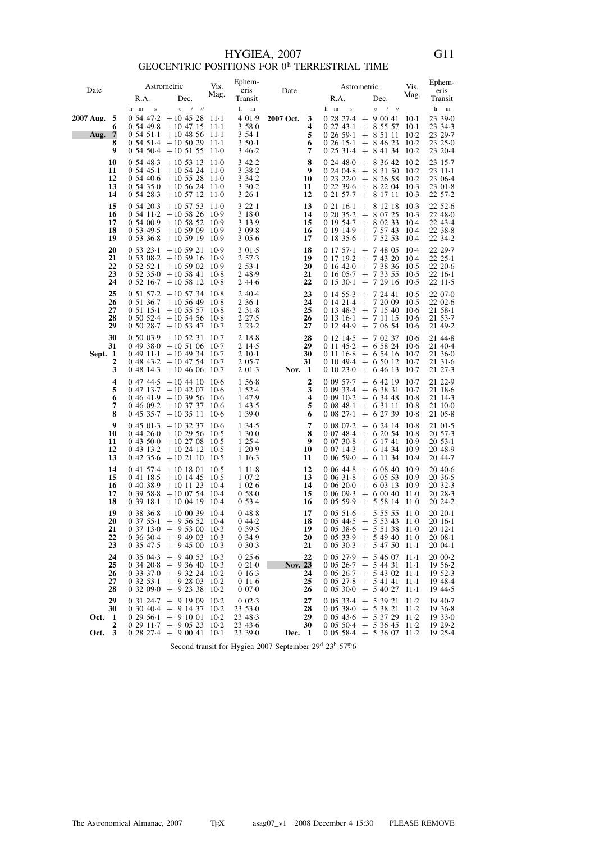## $$\rm HYGIEA,$  2007 $$\rm Geocen}$  resonance positions for  $0^{\rm h}$  terrestrial time

|                                                 |                                    | Astrometric                                                                                                                                                                                       | Vis.                                           | Ephem-                                                     |                                        |                                                          | Astrometric                                                                                                                                | Vis.                                        | Ephem-                                                         |
|-------------------------------------------------|------------------------------------|---------------------------------------------------------------------------------------------------------------------------------------------------------------------------------------------------|------------------------------------------------|------------------------------------------------------------|----------------------------------------|----------------------------------------------------------|--------------------------------------------------------------------------------------------------------------------------------------------|---------------------------------------------|----------------------------------------------------------------|
| Date                                            | R.A.                               | Dec.                                                                                                                                                                                              | Mag.                                           | eris<br>Transit                                            | Date                                   | R.A.                                                     | Dec.                                                                                                                                       | Mag.                                        | eris<br>Transit                                                |
|                                                 | h m<br>$\bf S$                     | $\circ$<br>$1$ $11$                                                                                                                                                                               |                                                | h<br>$\,$ m                                                |                                        | h m<br>$\bf{s}$                                          | $\circ$<br>$\overline{\phantom{a}}$<br>$^{\prime\prime}$                                                                                   |                                             | $^{\rm h}$<br>$\, {\rm m}$                                     |
| 2007 Aug.<br>-5<br>6<br>7<br>Aug.<br>8<br>9     | $0.54$ 47 $\cdot$ 2<br>$0.54$ 49.8 | $+10$ 45 28<br>$+10$ 47 15<br>$0.54$ 51 $\cdot$ 1 + 10 48 56<br>$0,54,51.4$ + 10 50 29<br>$0,54,50.4$ + 10 51 55                                                                                  | $11-1$<br>$11-1$<br>$11-1$<br>$11-1$<br>$11-0$ | 4 0 1 .9<br>3580<br>3 54 1<br>3 50 1<br>346.2              | 2007 Oct.<br>3<br>4<br>5<br>6<br>7     | $02743-1$<br>0, 26, 59.1<br>0, 26, 15.1<br>$0.25.31 - 4$ | $0.28$ 27.4 + 9 00 41<br>$+85557$<br>$+85111$<br>$+8462310.2$<br>$+8413410.2$                                                              | 10-1<br>10-1<br>$10-2$                      | 23 39 0<br>23 34 3<br>23 29.7<br>23 25 0<br>23 20 - 4          |
| 10<br>11<br>12<br>13<br>14                      | $0.54$ 48.3<br>0 54 45 1           | $+10$ 53 13<br>$+10$ 54 24<br>$0.54$ 40.6 + 10 55 28<br>$0,54,35\cdot 0$ + 10 56 24<br>$0,54,28.3$ + 10 57 12                                                                                     | $11-0$<br>11.0<br>11-0<br>11-0<br>11-0         | 342.2<br>3 3 8 - 2<br>3 3 4 - 2<br>330.2<br>$326-1$        | 8<br>9<br>10<br>11<br>12               | 0.24480<br>$0.24 \, 04.8$                                | $+8364210.2$<br>$+83150102$<br>$0.23.22 \cdot 0 + 8.26.58$<br>$0.22.396 + 8.22.04.10.3$<br>$0 \ 21 \ 57 \cdot 7 \ + \ 8 \ 17 \ 11$         | $10-2$<br>$10-3$                            | 23 15 - 7<br>$2311-1$<br>23 06.4<br>2301.8<br>22 57 - 2        |
| 15<br>16<br>17<br>18<br>19                      | 0.54.20.3                          | $+10\;57\;53$<br>$0.54$ 11.2 + 10 58 26<br>$0.54\,00.9$ + 10 58 52<br>$0.53, 49.5 + 10.59, 09$<br>$0.53.36.8 + 10.59.19$                                                                          | 11.0<br>10.9<br>10.9<br>10.9<br>10.9           | 322.1<br>3 18 0<br>3 1 3 . 9<br>309.8<br>3 0 5 6           | 13<br>14<br>15<br>16<br>17             | $02116-1$<br>0 19 54.7<br>0 19 14 9<br>018356            | $+ 81218$<br>$0\ 20\ 35.2$ + 8 07 25<br>$+80233$<br>$+ 75743$<br>$+ 75253$                                                                 | $10-3$<br>$10-3$<br>-10.4<br>-10-4<br>-10-4 | 22 52 6<br>22 48 0<br>22 43 4<br>22 38 8<br>22 34 2            |
| 20<br>21<br>22<br>23<br>24                      | $0.53.23 \cdot 1$                  | $+105921$<br>$0.53 \t08.2 + 10.59 \t16$<br>$0.52$ 52.1 + 10 59 02<br>$0,52,35\cdot 0, +10,58,41$<br>$0.52$ 16.7 + 10.58 12                                                                        | 10.9<br>10.9<br>10.9<br>$10-8$<br>10.8         | 301.5<br>2 5 7 - 3<br>$253-1$<br>2 48.9<br>244.6           | 18<br>19<br>20<br>21<br>22             | 0 17 19 2<br>$0.16$ 42 $\cdot$ 0<br>$01530-1$            | $0\ 17\ 57.1$ + 7 48 05 10.4<br>$+ 74320104$<br>$+ 7383610.5$<br>$0.16.05 \cdot 7 + 7.33.55$<br>$+ 72916$                                  | 10.5<br>$10-5$                              | 22 29 - 7<br>$22\;25.1$<br>22 20 6<br>$2216-1$<br>2211.5       |
| 25<br>26<br>27<br>28<br>29                      | 0.51.57.2                          | $+10\;57\;34$<br>$0.51.36-7 + 10.56.49$<br>$0.51$ 15.1 + 10 55 57<br>$0,50,52.4, +10,54,56$<br>$0.50.28 \cdot 7 + 10.53.47$                                                                       | $10-8$<br>$10-8$<br>$10-8$<br>$10-8$<br>$10-7$ | 2 4 0 4<br>$2,36-1$<br>231.8<br>2 27.5<br>223.2            | 23<br>24<br>25<br>26<br>27             | 0 14 21 4<br>01348.3<br>0 13 16 1<br>0 12 44.9           | $0$ 14 55.3 + 7 24 41<br>$+ 72009$<br>$+ 71540106$<br>$+ 71115$<br>$+ 70654$                                                               | $10-5$<br>$10-5$<br>$10-6$<br>$10-6$        | 22 07 0<br>22 02 6<br>21, 58.1<br>21 53.7<br>21 49 2           |
| 30<br>31<br>Sept. 1<br>2<br>3                   |                                    | $0,50,03.9 + 10,52,31$<br>$0.49.38 \cdot 0 + 10.51.06$<br>$0.49$ 11.1 + 10 49 34<br>$0.48$ 43.2 + 10 47 54<br>$0.48$ 14.3 + 10 46 06                                                              | $10-7$<br>10.7<br>$10-7$<br>$10-7$<br>$10-7$   | 2 18 8<br>2 14 5<br>2 10 1<br>205.7<br>201.3               | 28<br>29<br>30<br>31<br><b>Nov.</b> 1  | 0 10 49 4                                                | $0$ 12 14.5 + 7 02 37<br>$0$ 11 45.2 + 6 58 24 10.6<br>$0$ 11 16 8 + 6 54 16 10 -7<br>$+$ 6 50 12<br>$0$ 10 23 $\cdot$ 0 + 6 46 13         | $10-6$<br>10.7<br>10.7                      | 21 44 8<br>21 40.4<br>21 36 0<br>21 31 6<br>21 27 3            |
| 4<br>5<br>6<br>7<br>8                           | 0 47 44 5                          | $+10$ 44 10<br>$0\;47\;13.7\;+10\;42\;07$<br>$0.46$ 41.9 + 10 39 56<br>$0.46.09 \cdot 2 + 10.37.37$<br>$0.45.35 \cdot 7 + 10.35.11$                                                               | $10-6$<br>$10-6$<br>$10-6$<br>$10-6$<br>$10-6$ | 1 56 8<br>1 52 4<br>1 4 7 . 9<br>1 43.5<br>1 39 0          | 2<br>3<br>4<br>5<br>6                  | $0.08$ 27 $\cdot$ 1                                      | $0.0957 \cdot 7 + 6.421910 \cdot 7$<br>$0.09334 + 63831$<br>$0.0910 \cdot 2 + 6.3448$<br>$0.0848 \cdot 1 + 6.3111$<br>$+ 62739$            | 10.7<br>-10.8<br>-10.8<br>-10-8             | 21 22.9<br>21 18 6<br>21 14 3<br>21 10 0<br>21 05.8            |
| 9<br>10<br>11<br>12<br>13                       | $0.45 \; 01.3$                     | $+103237$<br>$0.44, 26.0 + 10.2956$<br>$0.43, 50.0 + 10.27, 08$<br>$0\;43\;13.2\;+10\;24\;12$<br>$0,42,35.6+10,21,10$                                                                             | $10-6$<br>$10-5$<br>$10-5$<br>$10-5$<br>$10-5$ | 134.5<br>1 30 0<br>$125-4$<br>1 20.9<br>1 16 3             | 7<br>8<br>9<br>10<br>11                | 0 07 48.4<br>0.0730.8<br>007143                          | $0.08$ 07.2 + 6 24 14<br>$+$ 6 20 54 10.8<br>$+ 61741$<br>$+ 61434$<br>$0.06590 + 6.1134109$                                               | 10.8<br>-10.9<br>10.9                       | 2101.5<br>20 57.3<br>$20\,53.1$<br>20 48.9<br>20 44.7          |
| 14<br>15<br>16<br>17<br>18                      |                                    | $0$ 41 57 4 + 10 18 01<br>$0$ 41 18.5 + 10 14 45<br>$0\;40\;38.9\;+10\;11\;23$<br>$0.3958 \cdot 8 + 10.0754$<br>$0.39$ 18.1 + 10 04 19                                                            | $10-5$<br>$10-5$<br>10-4<br>10-4<br>-10.4      | 1 1 1 8<br>$1\,07.2$<br>$1\,02.6$<br>$0.58 - 0.0$<br>053.4 | 12<br>13<br>14<br>15<br>16             | 0.06448<br>0.06318<br>0.06093<br>0 0 5 5 9 . 9           | $+ 608401009$<br>$+$ 6 05 53 10.9<br>$0.06200 + 6.0313$<br>$+ 60040$<br>$+$ 5 58 14 11.0                                                   | 10.9<br>11-0                                | $20\,40.6$<br>20,36.5<br>20 32 3<br>20 28 3<br>20 24 2         |
| 19<br>20<br>21<br>22<br>23                      |                                    | $0.38, 36.8 + 10, 00.39, 10.4$<br>$0.37.55 \cdot 1 + 9.56.52 \cdot 10.4$<br>$0 \ 37 \ 13.0 \ + \ 9 \ 53 \ 00 \ \ 10.3$<br>$0 \ 36 \ 30.4 \ + \ 9 \ 49 \ 03 \ \ 10.3$<br>$0.35\,47.5\;+\;9.45\,00$ | $10-3$                                         | 048.8<br>044.2<br>0.39.5<br>0 34.9<br>030.3                | 17<br>18<br>19<br>20<br>21             | 0.05.30.3                                                | $0.05516 + 55555110$<br>$0.0544.5 + 5.5343110$<br>$0.05.38 \cdot 6 + 5.51.38 \cdot 11 \cdot 0$<br>$0.0533.9 + 5.494011.0$<br>$+ 547501111$ |                                             | $2020 \cdot 1$<br>$2016-1$<br>$2012-1$<br>$2008-1$<br>$2004-1$ |
| 24<br>25<br>26<br>27<br>28                      | 0,32,09.0                          | $0\;35\;04.3$ + 9 40 53<br>$0.34$ 20.8 + 9.36.40<br>$0.33.370 + 9.32.24$<br>$0\,32\,53.1$ + 9 28 03<br>$+92338$                                                                                   | $10-3$<br>$10-3$<br>$10-2$<br>$10-2$<br>$10-2$ | 025.6<br>021.0<br>$0.16 - 3$<br>011.6<br>0070              | 22<br><b>Nov. 23</b><br>24<br>25<br>26 | 0.05, 26.7<br>0.0527.8<br>0.05300                        | $0\;05\;27.9\;\;+\;\;5\;46\;07$<br>$+ 54431$<br>$0.05\,26.7\;+\;5.43\,02\;11.1$<br>$+$ 5 41 41<br>$+ 54027$                                | $11-1$<br>$11-1$<br>$11-1$<br>$11-1$        | 20 00.2<br>19 56.2<br>19 52.3<br>19 48.4<br>19 44.5            |
| 29<br>30<br>Oct. 1<br>2<br>Oct.<br>$\mathbf{3}$ |                                    | $0$ 31 24.7 + 9 19 09<br>$0\,30\,40.4$ + 9 14 37<br>$0.2956-1 + 91001$<br>$0.29$ 11.7 + 9 05 23<br>$0.28$ 27.4 + 9 00 41 10.1                                                                     | $10-2$<br>$10-2$<br>$10-2$<br>$10-2$           | $0\,02.3$<br>23 53 0<br>23 48 3<br>23 43 6<br>23 39 0      | 27<br>28<br>29<br>30<br>Dec. 1         |                                                          | $0\;05\;33.4\;+\;5\;39\;21$<br>$0.05380 + 53821$<br>$0.05436 + 53729112$<br>$0.05504 + 53645112$<br>$0.05584 + 53607112$                   | 11.2<br>$11-2$                              | 19 40.7<br>1936.8<br>19 33.0<br>19 29 2<br>19 25 4             |

Second transit for Hygiea 2007 September 29<sup>d</sup> 23<sup>h</sup> 57<sup>m</sup>6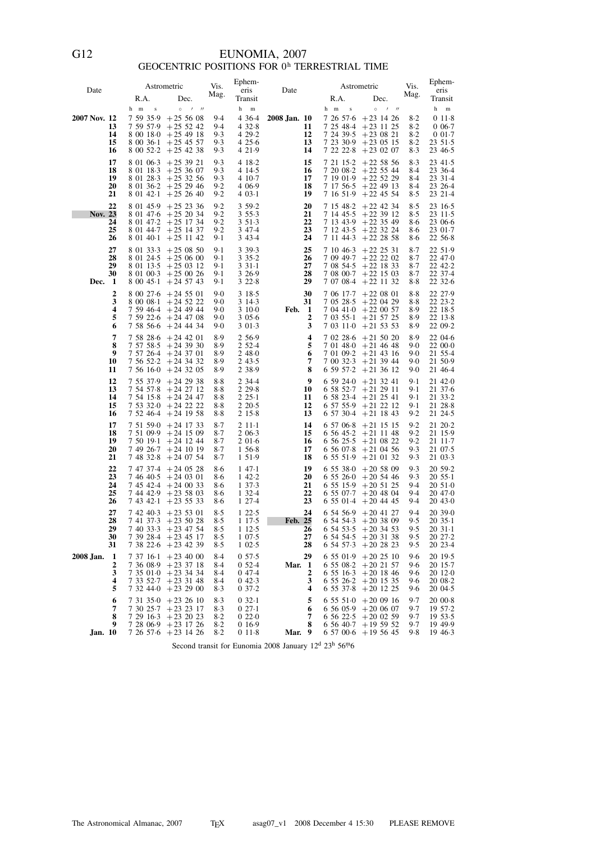# EUNOMIA, 2007<br>GEOCENTRIC POSITIONS FOR  $0^{\mathrm{h}}$  TERRESTRIAL TIME

| Date                                 | R.A.                                     | Astrometric<br>Dec.                                                                                                                        | Vis.<br>Mag.                              | Ephem-<br>eris<br>Transit                                  | Date                                       | R.A.                                           | Astrometric<br>Dec.                                                                                                             | Vis.<br>Mag.                        | Ephem-<br>eris<br>Transit                                                |
|--------------------------------------|------------------------------------------|--------------------------------------------------------------------------------------------------------------------------------------------|-------------------------------------------|------------------------------------------------------------|--------------------------------------------|------------------------------------------------|---------------------------------------------------------------------------------------------------------------------------------|-------------------------------------|--------------------------------------------------------------------------|
| 2007 Nov. 12<br>13<br>14<br>15<br>16 | h m<br>$\bf S$<br>7 59 35 9<br>8 00 36 1 | $0$ / //<br>$+25,56,08$<br>$7,59,57.9$ + 25,5242<br>$800180 + 254918$<br>$+254557$<br>$8\,00\,52.2$ + 25 42 38                             | 9.4<br>9.4<br>9.3<br>9.3<br>9.3           | h<br>m<br>4 3 6 4<br>432.8<br>4 29 2<br>425.6<br>4 2 1 . 9 | 2008 Jan. 10<br>11<br>12<br>13<br>14       | $\bf{s}$<br>h m<br>7 24 39 5                   | $0$ / //<br>$7,26,57.6$ + 23 14 26<br>$72548-4+231125$<br>$+230821$<br>$72330.9 + 230515$<br>$7222.8 + 230207$                  | $8-2$<br>$8-2$<br>8.2<br>8.2<br>8.3 | h<br>$\, {\rm m}$<br>011.8<br>$0.06 - 7$<br>001.7<br>23, 51.5<br>23 46 5 |
| 17<br>18<br>19<br>20<br>21           | 8 01 18 3<br>8 01 28 3<br>8 01 42 1      | $8\ 01\ 06.3$ + 25 39 21<br>$+253607$<br>$+253256$<br>$8\,01\,36.2$ + 25 29 46<br>$+252640$                                                | 9.3<br>9.3<br>9.3<br>9.2<br>9.2           | 4 18 2<br>4 14 5<br>4 10 - 7<br>4 0 6 9<br>$403-1$         | 15<br>16<br>17<br>18<br>19                 | 7 20 08 2<br>7 16 51.9                         | $72115.2 + 225856$<br>$+22, 55, 44$<br>$71901.9 + 225229$<br>$7\;17\;56.5\;+22\;49\;13$<br>$+22$ 45 54                          | 8.3<br>8.4<br>8.4<br>8.4<br>8.5     | $23\;41.5$<br>23 36 4<br>23 31 - 4<br>23 26 4<br>23 21 - 4               |
| 22<br>Nov. 23<br>24<br>25<br>26      | 8 01 45.9                                | $+252336$<br>$8 \t01 \t47.6 + 25 \t20 \t34$<br>$8 \t01 \t47.2 + 25 \t17 \t34$<br>$8$ 01 44.7 + 25 14 37<br>$8\ 01\ 40.1$ + 25 11 42        | 9.2<br>9.2<br>9.2<br>9.2<br>9.1           | 3 59 2<br>3 5 5 - 3<br>3 5 1 - 3<br>3 4 7 4<br>3 4 3 4     | 20<br>21<br>22<br>23<br>24                 | 7 15 48 2                                      | $+22$ 42 34<br>$7\;14\;45.5\;+22\;39\;12$<br>$71343.9 + 223549$<br>$71243.5 + 223224$<br>$711443 + 222858$                      | 8.5<br>85<br>8.6<br>8.6<br>8.6      | 23 16 5<br>2311.5<br>23 06 6<br>23 01.7<br>22 56 8                       |
| 27<br>28<br>29<br>30<br>Dec. 1       | 8 01 33 3                                | $+250850$<br>$8\,01\,24.5\;+25\,06\,00$<br>$8 \t01 \t13.5 + 25 \t03 \t12$<br>$8\ 01\ 00.3$ + 25 00 26<br>$8\ 00\ 45\cdot 1$ + 24 57 43     | 9.1<br>$9-1$<br>9.1<br>9.1<br>9-1         | 3 3 9 - 3<br>335.2<br>3 3 1 - 1<br>3 2 6 9<br>322.8        | 25<br>26<br>27<br>28<br>29                 | 7 08 54 5                                      | $71046 \cdot 3 + 222531$<br>$7.09.49 \cdot 7 + 22.22.02$<br>$+22$ 18 33<br>$7\,08\,00.7$ + 22 15 03<br>$7\;07\;08.4$ + 22 11 32 | 8.7<br>8.7<br>8.7<br>8.7<br>8.8     | 22 51.9<br>22 47 0<br>22 42 - 2<br>22 37 - 4<br>2232.6                   |
| $\overline{2}$<br>3<br>4<br>5<br>6   | 8 00 08 1<br>7 58 56 6                   | $8\ 00\ 27.6\ +24\ 55\ 01$<br>$+245222$<br>$7,59,46.4$ + 24 49 44<br>$7,59,22.6$ +24 47 08<br>$+24$ 44 34                                  | 9.0<br>9.0<br>9.0<br>9.0<br>9.0           | 3 18 5<br>3 14 3<br>3100<br>305.6<br>3 01 3                | 30<br>31<br>Feb.<br>$\mathbf{1}$<br>2<br>3 | 7 03 11 0                                      | $70617.7 + 220801$<br>$7\;05\;28.5\;+22\;04\;29$<br>$7.04$ 41.0 + 22 00 57<br>$7\;03\;55.1\;+21\;57\;25$<br>$+21\;53\;53$       | 8.8<br>8.8<br>8.9<br>8.9<br>8.9     | 22 27 - 9<br>22 23 2<br>22 18 - 5<br>22 13 8<br>22 09 2                  |
| 7<br>8<br>9<br>10<br>11              |                                          | $7,58,28.6$ +24 42 01<br>$7\;57\;58.5\;+24\;39\;30$<br>$7\;57\;26\;4\;+24\;37\;01$<br>$7\;56\;52.2\;+24\;34\;32$<br>$7,56,16.0 + 24,32,05$ | 8.9<br>8.9<br>8.9<br>8.9<br>8.9           | 2 5 6 9<br>2 52 4<br>2 48 0<br>243.5<br>2 3 8 9            | 4<br>5<br>6<br>7<br>8                      |                                                | $70228.6 + 215020$<br>$701480 + 214648$<br>$70109.2 + 214316$<br>$70032.3 + 213944$<br>$65957.2 + 213612$                       | 8.9<br>9.0<br>9.0<br>9.0<br>9.0     | 22 04 6<br>22 00.0<br>21 55.4<br>21 50.9<br>21 46 4                      |
| 12<br>13<br>14<br>15<br>16           | 7 54 57 8                                | $7\;55\;37.9$ + 24 29 38<br>$+242712$<br>$7\;54\;15\cdot8\;+24\;24\;47$<br>$7\;53\;32.0\;+24\;22\;22$<br>$7\;52\;46\;4$ + 24 19 58         | $8-8$<br>$8-8$<br>$8-8$<br>$8-8$<br>$8-8$ | 2 3 4 4<br>2 2 9 8<br>$225-1$<br>2 2 0 - 5<br>215.8        | 9<br>10<br>11<br>12<br>13                  | 6 59 24 0                                      | $+21$ 32 41<br>$65852 \cdot 7 + 212911$<br>$65823.4 + 212541$<br>$65755.9 + 212212$<br>$6\ 57\ 30.4$ + 21 18 43                 | 9.1<br>9.1<br>9.1<br>9-1<br>9.2     | 21 42.0<br>21 37 - 6<br>21 33 2<br>21 28 8<br>21 24 5                    |
| 17<br>18<br>19<br>20<br>21           | 7 49 26 7<br>7 48 32 8                   | $7\;51\;59\cdot0\;+24\;17\;33$<br>$7\;51\;09.9$ + 24 15 09<br>$7,50,19.1, +24,12,44$<br>$+24$ 10 19<br>$+240754$                           | $8-7$<br>$8-7$<br>$8-7$<br>$8-7$<br>$8-7$ | $211-1$<br>2 06.3<br>2016<br>1 56 8<br>1 5 1 9             | 14<br>15<br>16<br>17<br>18                 | 6 57 06.8<br>6 56 45 2<br>65607.8<br>6 55 51.9 | $+21$ 15 15<br>$+21$ 11 48<br>$6\;56\;25.5$ +21 08 22<br>$+21$ 04 56<br>$+21$ 01 32                                             | 9.2<br>9.2<br>9.2<br>9.3<br>9.3     | 21 20 2<br>21 15.9<br>21 11 7<br>21 07 5<br>21 03 3                      |
| 22<br>23<br>24<br>25<br>26           |                                          | 7 47 37 4 + 24 05 28<br>$7,46,40.5$ + 24 03 01<br>$7\;45\;42.4$ + 24 00 33<br>$7,44,42.9$ + 23 58 03<br>$7\;43\;42.1\;+23\;55\;33$         | $8-6$<br>8.6<br>8.6<br>8.6<br>8.6         | 147.1<br>142.2<br>137.3<br>1 3 2 - 4<br>127.4              | 19<br>20<br>21<br>22<br>23                 |                                                | $655380 + 205809$<br>$655260 + 205446$<br>$6\;55\;15.9\;+20\;51\;25$<br>$65507.7 + 204804$<br>$6\;55\;01.4$ + 20 44 45          | 9.3<br>9.3<br>9.4<br>9.4<br>9.4     | 20 59 2<br>$20, 55 \cdot 1$<br>20, 51.0<br>20 47.0<br>20 43 - 0          |
| 27<br>28<br>29<br>30<br>31           |                                          | $74240\cdot3 + 23501$<br>$7\;41\;37.3\;+23\;50\;28$<br>$74033.3 + 234754$<br>7 39 28 4 + 23 45 17<br>7 38 22 6 + 23 42 39                  | 8.5<br>8.5<br>$8-5$<br>85<br>$8-5$        | 122.5<br>1 1 7 5<br>112.5<br>$1\,07.5$<br>$1\,02.5$        | 24<br>Feb. 25<br>26<br>27<br>28            | $6\,54\,54.3$ $+20\,38\,09$<br>6 54 57 3       | $6\;54\;56.9$ + 20 41 27<br>$6\;54\;53.5\;+20\;34\;53$<br>$6\;54\;54.5\;+20\;31\;38$<br>$+202823$                               | 9.4<br>9.5<br>9.5<br>9.5<br>9.5     | 20 39 0<br>20, 35.1<br>$2031-1$<br>20 27 2<br>20 23 4                    |
| 2008 Jan.<br>1<br>2<br>3<br>4<br>5   | 7 37 16 1<br>736089                      | $+234000$<br>$+233718$<br>$7\;35\;01\cdot0\;+23\;34\;34$<br>$7\;33\;52.7\;+23\;31\;48$<br>$732440 + 232900$                                | 8.4<br>8.4<br>8.4<br>8.4<br>$8-3$         | 0.57.5<br>052.4<br>047.4<br>042.3<br>037.2                 | 29<br>Mar. 1<br>2<br>3<br>4                | 6 55 01.9<br>6 55 08 2<br>6 55 37 8            | $+202510$<br>$+20$ 21 57<br>$6\;55\;16\cdot3\;+20\;18\;46$<br>$6\;55\;26.2\;+20\;15\;35$<br>$+20$ 12 25                         | 9.6<br>9.6<br>9.6<br>9.6<br>9.6     | 20 19 - 5<br>2015.7<br>20 12 0<br>20 08 2<br>20 04.5                     |
| 6<br>7<br>8<br>9<br><b>Jan.</b> 10   |                                          | $7\;31\;35\;0\;+23\;26\;10$<br>7 30 25 7 + 23 23 17<br>$72916 \cdot 3 + 232023$<br>7 28 06 9 + 23 17 26<br>7 26 57 6 + 23 14 26            | $8-3$<br>83<br>$8-2$<br>$8-2$<br>$8-2$    | $032-1$<br>$027-1$<br>022.0<br>0 1 6 9<br>011.8            | 5<br>6<br>7<br>8<br>Mar. 9                 | 655510                                         | $+200916$<br>$6\;56\;05.9$ + 20 06 07<br>$6\;56\;22.5$ +20 02 59<br>$6\;56\;40.7$ + 19 59 52<br>$6\ 57\ 00.6$ + 19 56 45        | 9.7<br>9.7<br>9.7<br>9.7<br>9.8     | 20 00 8<br>1957.2<br>1953.5<br>19 49 - 9<br>19463                        |

Second transit for Eunomia 2008 January 12<sup>d</sup> 23<sup>h</sup> 56<sup>m</sup>6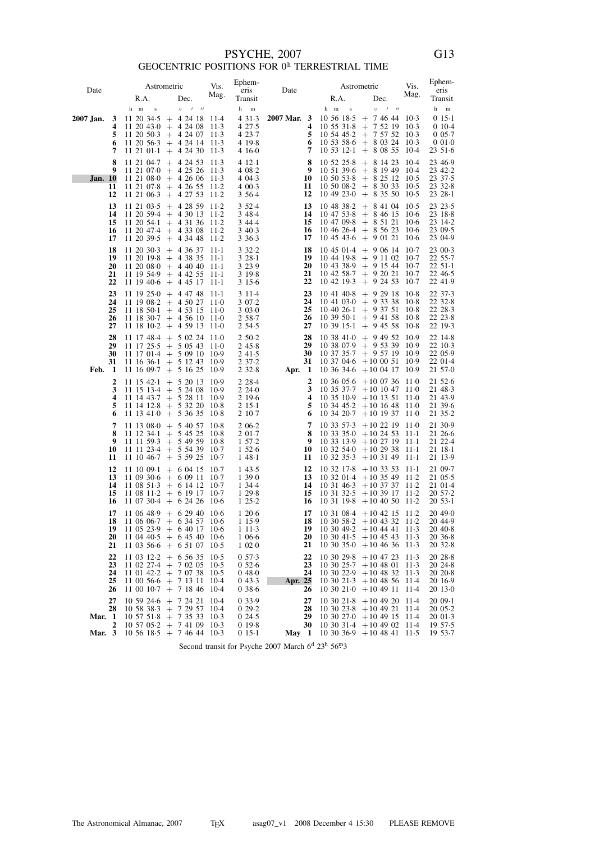## $$\sf PSYCHE,$   $2007$  GEOCENTRIC POSITIONS FOR  $0^{\rm h}$  TERRESTRIAL TIME

|                |          |                          | Astrometric                                                            | Vis.             | Ephem-                 | Date             |                                 | Astrometric                                                                   | Vis.             | Ephem-                  |
|----------------|----------|--------------------------|------------------------------------------------------------------------|------------------|------------------------|------------------|---------------------------------|-------------------------------------------------------------------------------|------------------|-------------------------|
| Date           |          | R.A.                     | Dec.                                                                   | Mag.             | eris<br>Transit        |                  | R.A.                            | Dec.                                                                          | Mag.             | eris<br>Transit         |
|                |          | h m<br>$\,$ s            | $\prime$<br>$^{\prime\prime}$<br>$\circ$                               |                  | h<br>m                 |                  | h m<br>$\,$ s                   | $\circ$<br>$\overline{\phantom{a}}$<br>$^{\prime\prime}$                      |                  | h<br>${\bf m}$          |
| 2007 Jan.      | 3        | 11 20 34 5               | $+ 42418$                                                              | 11.4             | 431.3                  | 2007 Mar. 3      | 10 56 18.5                      | $+ 74644$                                                                     | $10-3$           | $015-1$                 |
|                | 4<br>5   | 11 20 43 0               | $+$ 4 24 08<br>$11\ 20\ 50.3$ + 4 24 07                                | $11-3$<br>11.3   | 4 27.5<br>4 23.7       | 4<br>5           | 1055318<br>10 54 45 2           | 7 52 19<br>$+$<br>$+ 75752$                                                   | $10-3$<br>$10-3$ | $010-4$<br>$0.05 - 7$   |
|                | 6        | 11 20 56 3               | $+$ 4 24 14                                                            | $11-3$           | 4 19 8                 | 6                | 1053586                         | $+80324$                                                                      | $10-3$           | 0010                    |
|                | 7        | $11\;21\;01-1$           | $+$ 4 24 30                                                            | $11-3$           | 4 16 0                 | 7                | $105312-1$                      | $+80855$                                                                      | $10-4$           | 23, 51.6                |
|                | 8<br>9   | 11 21 04 7               | $+$ 4 24 53<br>$11\ 21\ 07\ 0 + 4\ 25\ 26\ 11\ 3$                      | $11-3$           | 412.1<br>4 08.2        | 8<br>9           | 10 52 25.8                      | $+81423$<br>$10\;51\;39.6\;+\;8\;19\;49\;10.4$                                | $10-4$           | 23 46.9<br>23 42.2      |
| <b>Jan.</b> 10 |          | 11 21 08 0               | $+42606$                                                               | $11-3$           | 4 04 3                 | 10               | 10,50,53.8                      | $+82512$                                                                      | $10-5$           | 23 37 - 5               |
|                | 11       | 11 21 07 8               | $+$ 4 26 55                                                            | $11-2$           | 4 00.3                 | 11<br>12         | 10 50 08 2                      | $+83033$<br>$10\;49\;23\;0\;+\;8\;35\;50$                                     | $10-5$<br>$10-5$ | 23 32 8                 |
|                | 12       |                          | $11\ 21\ 06\ 3\ +\ 4\ 27\ 53$                                          | $11-2$           | 3 5 6 4<br>3 5 2 - 4   | 13               | 10 48 38 2                      | $+84104$                                                                      | $10-5$           | 2328.1<br>23 23 - 5     |
|                | 13<br>14 | 11 20 59 4               | $11$ 21 03.5 + 4 28 59 11.2<br>$+$ 4 30 13                             | $11-2$           | 3 48 4                 | 14               | 104753.8                        | $+84615$                                                                      | $10-6$           | 23 18 8                 |
|                | 15       | $11\ 20\ 54.1$           | $+43136112$                                                            |                  | 3 4 4 4                | 15               | 10 47 09 8                      | $+85121$                                                                      | $10-6$           | 23 14 2                 |
|                | 16<br>17 | 11 20 39 5               | $11\ 20\ 47.4$ + 4 33 08<br>$+$ 4 34 48                                | $11-2$<br>$11-2$ | 3 4 0 - 3<br>3 3 6 - 3 | 16<br>17         | 10 46 26 4<br>104543.6          | $+85623$<br>$+90121$                                                          | $10-6$<br>$10-6$ | 23 09 5<br>23 04.9      |
|                | 18       | 11 20 30 3               | $+$ 4 36 37                                                            | $11-1$           | 332.2                  | 18               | 10 45 01 4                      | $+90614$                                                                      | -10.7            | 23 00.3                 |
|                | 19<br>20 | 11 20 19 8               | $+43835$<br>$11\ 20\ 08.0 + 4\ 40\ 40$                                 | $11-1$<br>$11-1$ | $328-1$<br>3 2 3 9     | 19<br>20         | 10 44 19 8<br>10 43 38.9        | $+91102$<br>$+$ 9 15 44                                                       | 10.7<br>$10-7$   | 22 55.7<br>$2251-1$     |
|                | 21       |                          | $11$ 19 54.9 + 4 42 55                                                 | $11-1$           | 3 19 8                 | 21               | 10 42 58 7                      | $+$ 9 20 21                                                                   | $10-7$           | $22\,46.5$              |
|                | 22       |                          | $11\ 19\ 40.6 + 4\ 45\ 17$                                             | $11-1$           | 3 1 5 6                | 22               | 10 42 19 3                      | $+$ 9 24 53                                                                   | $10-7$           | 22 41.9                 |
|                | 23<br>24 |                          | $11\ 19\ 25 \cdot 0 + 4\ 47\ 48$<br>$11\ 19\ 08.2 + 4\ 50\ 27\ 11.0$   | $11-1$           | 3 1 1 - 4<br>3 0 7 - 2 | 23<br>24         | 10 41 40 8<br>1041030           | $+92918$<br>$+93338$                                                          | $10-8$<br>$10-8$ | 22 37 3<br>22 32 8      |
|                | 25       | 11 18 50 1               | $+$ 4 53 15                                                            | $11-0$           | 3 0 3 0                | 25               | $10\,40\,26.1$                  | $+$ 9 37 51                                                                   | 10.8             | 22 28 3                 |
|                | 26<br>27 |                          | $11$ 18 30 7 + 4 56 10                                                 | $11-0$<br>$11-0$ | 2 58.7                 | 26<br>27         | $103950 \cdot 1$<br>$103915-1$  | $+$ 9 41 58<br>$+$ 9 45 58                                                    | $10-8$<br>$10-8$ | 22 23 8<br>22 19 3      |
|                | 28       | 11 17 48 4               | $11\ 18\ 10.2 + 4\ 59\ 13$<br>$+ 50224$                                | $11-0$           | 2 54 5<br>2 50.2       | 28               | 1038410                         | $+$ 9 49 52                                                                   | 10.9             | 22 14 - 8               |
|                | 29       | 11 17 25 5               | $+$ 5 05 43                                                            | $11-0$           | 245.8                  | 29               |                                 | $10$ 38 07.9 + 9 53 39                                                        | -10.9            | 22 10 3                 |
|                | 30<br>31 | $11\;16\;36.1$           | $11\ 17\ 01.4 + 5\ 09\ 10$                                             | 10.9<br>10.9     | 241.5<br>2 37 2        | 30<br>31         | 10 37 35 7<br>10 37 04 6        | $+$ 9 57 19<br>$+100051$                                                      | -10.9<br>10.9    | 22 05.9<br>22 01 - 4    |
| Feb.           | -1       |                          | $+$ 5 12 43<br>$11\ 16\ 09.7 + 5\ 16\ 25$                              | 10.9             | 232.8                  | Apr. 1           | 10 36 34 6                      | $+100417$                                                                     | 10.9             | 21 57 0                 |
|                | 2        | $11\;15\;42.1$           | $+ 52013$                                                              | 10.9             | 2 2 8 - 4              | 2                |                                 | $10\,36\,05.6$ + 10 07 36 11.0                                                |                  | 21 52.6                 |
|                | 3<br>4   | 11 15 13 4<br>11 14 43 7 | $+ 52408$<br>$+$ 5 28 11                                               | 10.9<br>10.9     | 2240<br>2 19 6         | 3<br>4           | 10 35 37 - 7<br>10 35 10 9      | $+10$ 10 47<br>$+10$ 13 51                                                    | $11-0$<br>$11-0$ | 21 48 3<br>21 43.9      |
|                | 5        | 11 14 12 8               | $+ 53220$                                                              | 10.8             | 2 15 1                 | 5                | 103445.2                        | $+10$ 16 48                                                                   | -11-0            | 21 39 6                 |
|                | 6        | 11 13 41 0               | $+ 53635$                                                              | $10-8$           | 2 10 7                 | 6<br>7           | 10 34 20 7                      | $+10$ 19 37                                                                   | $11-0$<br>- 11-0 | 21 35 - 2<br>21 30.9    |
|                | 7<br>8   | 11 13 08 0<br>11 12 34 1 | $+$ 5 40 57<br>$+ 54525$                                               | $10-8$<br>$10-8$ | $206-2$<br>2 01.7      | 8                | 10 33 57 3<br>1033350           | $+102219$<br>$+10$ 24 53                                                      | $11-1$           | 21 26 6                 |
|                | 9<br>10  | 11 11 59 3               | $+$ 5 49 59                                                            | $10-8$<br>$10-7$ | 157.2<br>1526          | 9<br>10          | 10 33 13.9<br>10 32 54 0        | $+102719$<br>$+102938$                                                        | - 11-1<br>$11-1$ | 21 22 4<br>21 18 1      |
|                | 11       | 11 10 46 7               | $11$ 11 23.4 + 5 54 39<br>$+$ 5 59 25                                  | $10-7$           | 148.1                  | 11               | 1032353                         | $+103149$                                                                     | $11-1$           | 21 13.9                 |
|                | 12       | 11 10 09 1               | $+ 60415$                                                              | $10-7$           | 143.5                  | 12               | 10 32 17 8                      | $+103353$                                                                     | $11-1$           | 21 09.7                 |
|                | 13<br>14 |                          | $11\ 09\ 30.6 + 6\ 09\ 11$<br>$11\ 08\ 51\cdot3\ +\ 6\ 14\ 12$         | $10-7$<br>$10-7$ | 1,39.0<br>1 34 4       | 13<br>14         | 10 31 46 3                      | $10\,32\,01.4$ + 10 35 49 11.2<br>$+10$ 37 37 11.2                            |                  | $21 \t05.5$<br>$2101-4$ |
|                | 15       | 11 08 11 2               | $+$ 6 19 17                                                            | $10-7$           | 1 29.8                 | 15               | 103132.5                        | $+103917$                                                                     | $11-2$           | 20 57.2                 |
|                | 16       |                          | $11$ 07 30.4 + 6 24 26                                                 | $10-6$           | 125.2                  | 16               |                                 | $10\ 31\ 19.8$ + 10 40 50                                                     | 11.2             | $2053-1$                |
|                | 17<br>18 |                          | $11\,06\,48.9\;+\;6\,29\,40$<br>$11\,06\,06.7\,\pm\,6\,34\,57$         | $10-6$<br>$10-6$ | 120.6<br>1 15.9        | 17<br>18         |                                 | $10\ 31\ 08.4$ + $10\ 42\ 15\ 11.2$<br>$10\ 30\ 58.2$ + 10 43 32 11.2         |                  | 20490<br>20 44.9        |
|                | 19       |                          | $11\;05\;23.9\;+\;6\;40\;17\;10.6$                                     |                  | 111.3                  |                  | 19 10 30 49 $2 + 10$ 44 41 11 3 |                                                                               |                  | 2040.8                  |
|                | 20<br>21 |                          | $11\;04\;40.5\;+\;6\;45\;40\;10.6$<br>$11\;03\;56.6\;+\;6\;51\;07$     | $10-5$           | 1 06 6<br>$1\,02.0$    | 20<br>21         |                                 | $10\ 30\ 41.5$ + 10 45 43 11.3<br>$10\ 30\ 35\cdot 0$ + 10 46 36 11 \cdot 3   |                  | 2036.8<br>2032.8        |
|                | 22       |                          | $11$ 03 12.2 + 6 56 35                                                 | $10-5$           | 0.57.3                 | 22               |                                 | $10$ 30 29 8 + 10 47 23 11 3                                                  |                  | 20 28 8                 |
|                | 23       |                          | $11$ 02 27.4 + 7 02 05                                                 | $10-5$           | 0526                   | 23               | 103025.7                        | $+10$ 48 01 11.3                                                              |                  | 20 24 8                 |
|                | 24<br>25 |                          | $11 \t01 \t42.2 + 7 \t07 \t38$<br>$11\ 00\ 56.6 + 7\ 13\ 11$           | $10-5$<br>$10-4$ | 048.0<br>043.3         | 24<br>Apr. 25    |                                 | $10$ 30 22.9 + 10 48 32 11.3<br>$10\ 30\ 21 \cdot 3 + 10\ 48\ 56\ 11 \cdot 4$ |                  | 2020.8<br>20 16.9       |
|                | 26       |                          | $11\ 00\ 10\cdot7\ +\ 7\ 18\ 46$                                       | $10-4$           | 0.386                  | 26               |                                 | $10\ 30\ 21\ 0\ +10\ 49\ 11$                                                  | -11.4            | 20 13 0                 |
|                | 27       |                          | $10\ 59\ 24.6$ + 7 24 21                                               | $10-4$           | 0 3 3 . 9              | 27               |                                 | $10$ 30 21 8 + 10 49 20 11 4<br>$10$ 30 23.8 + 10 49 21 11.4                  |                  | $2009-1$                |
| <b>Mar.</b> 1  | 28       |                          | $10\;58\;38.3\;\;+\;\;7\;29\;57$<br>$10\;57\;51\;8\;\;+\;\;7\;35\;33$  | $10-4$<br>$10-3$ | 029.2<br>024.5         | 28<br>29         | 1030270                         | $+10$ 49 15 11.4                                                              |                  | 2005.2<br>20013         |
| Mar. 3         | 2        |                          | $10\;57\;05.2\;\;+\;\;7\;41\;09$<br>$10\;56\;18.5\;+\;7\;46\;44\;10.3$ | $10-3$           | 019.8<br>$015-1$       | 30               | 10 30 31 4                      | $+10$ 49 02 11.4                                                              |                  | 19 57 - 5               |
|                |          |                          |                                                                        |                  |                        | May <sub>1</sub> |                                 | $10\ 30\ 36.9$ + 10 48 41 11.5                                                |                  | 19 53 7                 |

Second transit for Psyche 2007 March  $6^{\rm d}$   $23^{\rm h}$   $56^{\rm m}3$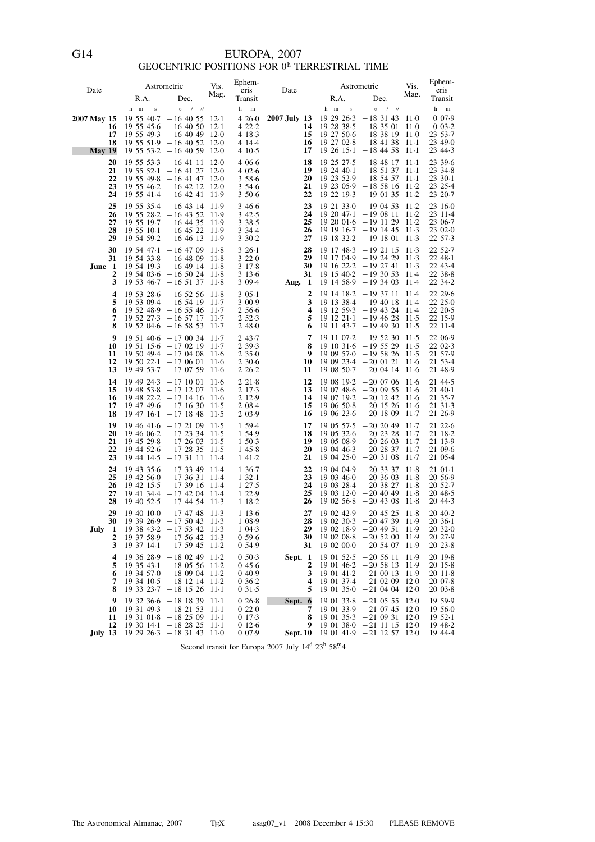## EUROPA, 2007<br>GEOCENTRIC POSITIONS FOR  $0^{\mathrm{h}}$  TERRESTRIAL TIME

| Date                                      | R.A.                                                                     | Astrometric<br>Dec.                                                                                                                                                             | Vis.<br>Mag.                                   | Ephem-<br>eris<br>Transit                             | Date                                      | R.A.                                                      | Astrometric<br>Dec.                                                                                                                                                                                 | Vis.<br>Mag.                            | Ephem-<br>eris<br>Transit                                              |
|-------------------------------------------|--------------------------------------------------------------------------|---------------------------------------------------------------------------------------------------------------------------------------------------------------------------------|------------------------------------------------|-------------------------------------------------------|-------------------------------------------|-----------------------------------------------------------|-----------------------------------------------------------------------------------------------------------------------------------------------------------------------------------------------------|-----------------------------------------|------------------------------------------------------------------------|
| 2007 May 15<br>16<br>17<br>18<br>May $19$ | h m<br>$\bf S$                                                           | $1$ $11$<br>$\circ$<br>$19\;55\;40.7\; -16\;40\;55$<br>$19\,55\,45.6\,-16\,40\,50$<br>$19\,55\,49.3\,-16\,40\,49$<br>$19\;55\;51.9\;$ - 16 40 52<br>$19\,55\,53.2\,-16\,40\,59$ | $12-1$<br>$12-1$<br>$12-0$<br>$12-0$<br>$12-0$ | h<br>m<br>4260<br>422.2<br>4 18 3<br>4 14 4<br>4 10 5 | 2007 July 13<br>14<br>15<br>16<br>17      | h m<br>$\mathbf S$                                        | $\circ$<br>$\prime$ $\prime$<br>$19\ 29\ 26.3 - 18\ 31\ 43$<br>$19\ 28\ 38.5\ -18\ 35\ 01$<br>$19\ 27\ 50.6\ -18\ 38\ 19\ 11.0$<br>$19\ 27\ 02.8 - 18\ 41\ 38$<br>$19\ 26\ 15 \cdot 1\ -18\ 44\ 58$ | 11.0<br>$11-0$<br>-11-1<br>$11-1$       | h<br>${\bf m}$<br>007.9<br>$0.03 - 2$<br>23 53 7<br>23 49 0<br>23 44 3 |
| 20<br>21<br>22<br>23<br>24                |                                                                          | $19\;55\;53.3\;$ -16 41 11<br>$19\;55\;52.1\; -16\;41\;27$<br>$19\;55\;49.8\;$ - 16 41 47<br>$19\;55\;46.2\; -16\;42\;12$<br>$19\;55\;41.4\; -16\;42\;41$                       | $12-0$<br>$12-0$<br>12.0<br>$12-0$<br>11.9     | 4 0 6 6<br>402.6<br>3586<br>3 54 6<br>3,50.6          | 18<br>19<br>20<br>21<br>22                | 19 25 27.5<br>$192440 \cdot 1$                            | $-18$ 48 17<br>$-185137$<br>$19\ 23\ 52.9$ - 18 54 57<br>$19\ 23\ 05.9$ - 18 58 16 11.2<br>$19\ 22\ 19.3\ -19\ 01\ 35$                                                                              | - 11-1<br>$11-1$<br>$11-1$<br>$11-2$    | 23 39 6<br>23 34 8<br>$2330-1$<br>23 25.4<br>23 20 - 7                 |
| 25<br>26<br>27<br>28<br>29                |                                                                          | $19\;55\;35.4\;$ - 16 43 14 11.9<br>$19\;55\;28.2\; -16\;43\;52\;11.9$<br>$19\;55\;19.7\;$ -16 44 35<br>$19\;55\;10.1\; -16\;45\;22$<br>$19\,54\,59.2\,-16\,46\,13$             | 11.9<br>11.9<br>11.9                           | 3466<br>3 4 2 - 5<br>3 3 8 5<br>3 3 4 4<br>3 3 0 - 2  | 23<br>24<br>25<br>26<br>27                |                                                           | $19\ 21\ 33.0 - 19\ 04\ 53$<br>$19\ 20\ 47.1\ -19\ 08\ 11$<br>$19\ 20\ 01.6$ - $19\ 11\ 29\ 11.2$<br>$19\ 19\ 16.7$ - 19 14 45<br>$19$ 18 32.2 - 19 18 01                                           | $11-2$<br>$11-2$<br>11.3<br>11.3        | 23 16 0<br>23 11 - 4<br>23 06 7<br>23 02 0<br>22 57 3                  |
| 30<br>31<br>June 1<br>2<br>3              |                                                                          | $19\;54\;47.1\;$ - 16 47 09<br>$19\,54\,33.8 - 16\,48\,09$<br>$19\,54\,19.3\,-16\,49\,14$<br>$19\,54\,03.6$ - 16 50 24<br>$19\;53\;46.7\; -16\;51\;37$                          | - 11 - 8<br>11.8<br>118<br>$11-8$<br>11.8      | $326-1$<br>3220<br>3 1 7 8<br>3 1 3 6<br>3 09.4       | 28<br>29<br>30<br>31<br>Aug. $1$          |                                                           | $19\ 17\ 48.3\ -19\ 21\ 15$<br>$19\ 17\ 04.9$ - $19\ 24\ 29$<br>$19\ 16\ 22.2\ -19\ 27\ 41$<br>$19\ 15\ 40.2\ -19\ 30\ 53$<br>$19\ 14\ 58.9$ - 19 34 03                                             | 11.3<br>11.3<br>11.3<br>-11.4<br>11.4   | 22 52.7<br>$22\;48.1$<br>22 43 4<br>22 38 8<br>22 34 2                 |
| 4<br>5<br>6<br>7<br>8                     |                                                                          | $19\;53\;28.6\;-16\;52\;56$<br>$19\,53\,09.4$ - 16 54 19<br>$19\;52\;48.9\;$ - 16 55 46<br>$19\;52\;27.3\;$ - 16 57 17<br>$19\,52\,04.6\; -16\,58\,53$                          | -11.8<br>$11-7$<br>$11-7$<br>$11-7$<br>$11-7$  | $305-1$<br>3 0 0 . 9<br>2 5 6 6<br>2 5 2 3<br>2 48 0  | 2<br>3<br>4<br>5<br>6                     | 19 11 43 7                                                | $19$ 14 18 2 - 19 37 11<br>$19$ 13 38.4 - 19 40 18<br>$19$ 12 59.3 $-19$ 43 24<br>$19$ 12 21 · 1 - 19 46 28<br>$-194930$                                                                            | -11.4<br>-11.4<br>-11.4<br>11.5<br>11.5 | 22 29 6<br>$22\;25.0$<br>22 20 5<br>22 15.9<br>22 11 4                 |
| 9<br>10<br>11<br>12<br>13                 |                                                                          | $19\ 51\ 40.6\ -17\ 00\ 34$<br>$19\;51\;15\;6\;-17\;02\;19\;11\;7$<br>$19\ 50\ 49.4$ - 17 04 08<br>$19\ 50\ 22 \cdot 1\ -17\ 06\ 01$<br>$19\;49\;53.7\;$ - 17 07 59 11.6        | 11.7<br>$11-6$<br>$11-6$                       | 2 43.7<br>2 3 9 - 3<br>2350<br>2 3 0 6<br>2, 26.2     | 7<br>8<br>9<br>10<br>11                   |                                                           | $19$ 11 07 2 - 19 52 30 11 5<br>$19\ 10\ 31.6$ - $19\ 55\ 29\ 11.5$<br>$19\ 09\ 57.0$ - 19 58 26 11.5<br>$190923.4 - 200121$<br>$190850 \cdot 7 - 200414$                                           | $11-6$<br>$11-6$                        | 22 06.9<br>22 02 3<br>21 57.9<br>21 53.4<br>21 48.9                    |
| 14<br>15<br>16<br>17<br>18                | 19 49 24.3                                                               | $-171001$<br>$19\;48\;53.8\;$ - 17 12 07<br>$19\;48\;22.2\;$ - 17 14 16<br>$19$ 47 49.6 - 17 16 30<br>$19\;47\;16.1\;$ - 17 18 48                                               | $11-6$<br>$11-6$<br>$11-6$<br>$11-5$<br>$11-5$ | 221.8<br>2 17 3<br>2 1 2 . 9<br>2 0 8 4<br>2 0 3 . 9  | 12<br>13<br>14<br>15<br>16                |                                                           | $190819.2 - 200706$<br>$19\ 07\ 48.6\ -20\ 09\ 55$<br>$19\ 07\ 19.2\ -20\ 12\ 42\ 11.6$<br>$19\;06\;50.8$ - 20 15 26 11.6<br>$190623.6 - 201809$                                                    | $11-6$<br>$11-6$<br>$11-7$              | 21 44 5<br>$2140-1$<br>21 35 7<br>21 31 3<br>21 26 9                   |
| 19<br>20<br>21<br>22<br>23                |                                                                          | $19\;46\;41\;6\; -17\;21\;09$<br>$19\;46\;06.2\;$ - 17 23 34<br>$19\;45\;29.8\;$ - 17 26 03<br>$19\;44\;52.6\;$ - 17 28 35<br>$19\;44\;14.5\;$ - 17 31 11                       | 11.5<br>11.5<br>$11-5$<br>$11-5$<br>$11-4$     | 1 59 4<br>1 54.9<br>1 50.3<br>1 45 8<br>141.2         | 17<br>18<br>19<br>20<br>21                |                                                           | $19\;05\;57.5\; -20\;20\;49\;11.7$<br>$19\;05\;32.6\;-20\;23\;28$<br>$19\;05\;08.9\;-20\;26\;03$<br>$19\;04\;46.3\;-20\;28\;37$<br>$1904250 - 203108$                                               | 11.7<br>11.7<br>$11-7$<br>$11-7$        | 21 22 - 6<br>21 18 2<br>21 13.9<br>21 09.6<br>21 05.4                  |
| 24<br>25<br>26<br>27<br>28                |                                                                          | $19\;43\;35.6\;$ - 17 33 49 11.4<br>$19\;42\;56\;0\;$ - 17 36 31<br>$19\;42\;15.5\;$ - 17 39 16<br>$19\;41\;34.4\;$ - 17 42 04<br>$19\;40\;52.5\;$ - 17 44 54                   | $11-4$<br>11.4<br>$11-4$<br>$11-3$             | 1 36.7<br>132.1<br>127.5<br>1 2 2 . 9<br>1 18.2       | 22<br>23<br>24<br>25<br>26                |                                                           | $1904049 - 203337118$<br>$19\;03\;460\; -20\;36\;03$<br>$19\;03\;28.4\; -20\;38\;27$<br>$1903120 - 204049$<br>$19\ 02\ 56.8\ -20\ 43\ 08$                                                           | 11.8<br>$11-8$<br>- 11 - 8<br>11.8      | $2101-1$<br>20 56.9<br>20 52.7<br>20 48 - 5<br>20 44.3                 |
| 29<br>30<br>July 1<br>2<br>3              | $19\,39\,26.9$ $-17\,50\,43$ $11.3$<br>$19\,38\,43.2\ -17\,53\,42\ 11.3$ | $19\;40\;10\cdot0\;$ - 17 47 48<br>$19\,37\,58.9$ - 17 56 42 11.3<br>$19\;37\;14.1\;$ - 17 59 45                                                                                | 11.3<br>$11-2$                                 | 1 1 3 - 6<br>1 08 9<br>1 04 3<br>0.596<br>0 54.9      | 27<br>29<br>30<br>31                      | 28 19 02 30 3 $-20$ 47 39 11 9<br>$190218.9 - 20495111.9$ | $190242.9 - 20452511.8$<br>$1902088 - 205200119$<br>$1902000 - 205407$                                                                                                                              | 11.9                                    | 20 40.2<br>$2036-1$<br>20 32 0<br>20 27.9<br>20 23 - 8                 |
| 4<br>5<br>6<br>7<br>8                     |                                                                          | $19$ 36 28.9 - 18 02 49<br>$19\,35\,43.1\; -18\,05\,56$<br>$19\,34\,57.0$ $-18\,09\,04$ $11.2$<br>$19\,34\,10.5$ - 18 12 14 11.2<br>$19$ 33 23.7 $-18$ 15 26                    | $11-2$<br>$11-2$<br>$11-1$                     | 0.50.3<br>0456<br>040.9<br>$0.36 - 2$<br>031.5        | Sept. 1<br>2<br>3<br>4<br>5               |                                                           | $190152.5 - 205611$<br>$190146.2 - 205813$<br>$190141.2 - 21001311.9$<br>$190137.4 - 21020912.0$<br>$1901350 - 210404120$                                                                           | 11.9<br>11.9                            | 20 19 8<br>2015.8<br>2011.8<br>2007.8<br>2003.8                        |
| 9<br>10<br>11<br>12<br>July 13            |                                                                          | $19$ 32 36.6 - 18 18 39 11.1<br>$19\ 31\ 49.3$ - 18 21 53 11.1<br>$19\ 31\ 01.8 - 18\ 25\ 09$<br>$19\ 30\ 14.1$ - 18 28 25<br>$19\ 29\ 26 \cdot 3 - 18\ 31\ 43\ 11 \cdot 0$     | $11-1$<br>$11-1$                               | 026.8<br>0220<br>017.3<br>012.6<br>007.9              | Sept. 6<br>7<br>8<br>9<br><b>Sept. 10</b> |                                                           | $190133.8 - 210555$<br>$19\ 01\ 33.9$ $-21\ 07\ 45\ 12.0$<br>$190135.3 - 210931$<br>$1901380 - 211115$<br>$190141.9 - 21125712.0$                                                                   | -12.0<br>$12-0$<br>$12-0$               | 19 59.9<br>19 56 0<br>$1952-1$<br>19 48.2<br>19 44 4                   |

Second transit for Europa 2007 July 14<sup>d</sup> 23<sup>h</sup> 58<sup>m</sup>4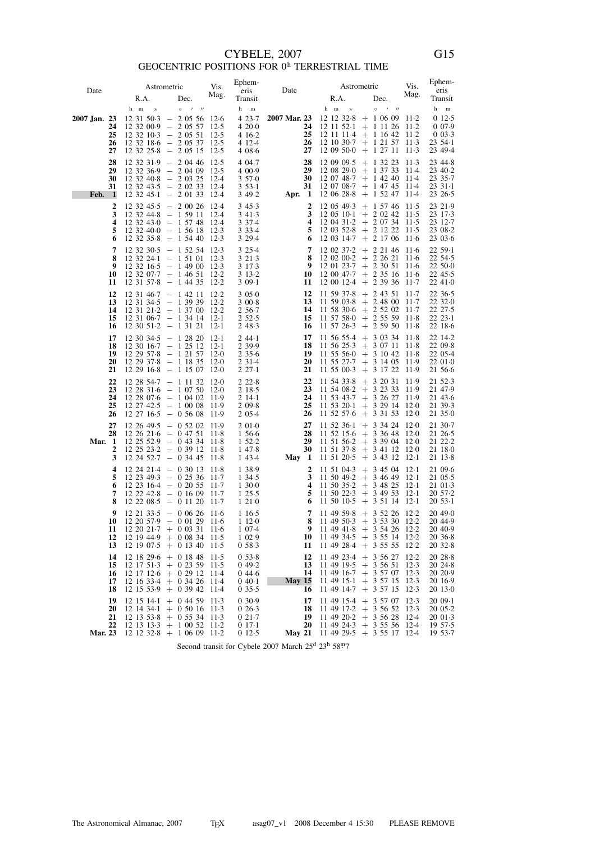## $\text{CYBELE, 2007}$  GEOCENTRIC POSITIONS FOR  $0^{\text{h}}$  TERRESTRIAL TIME

| Date           |                                                          | Astrometric                                                                                                                          | Vis.            | Ephem-<br>eris       | Date                         |                          | Astrometric                                                                                            | Vis.   | Ephem-<br>eris         |
|----------------|----------------------------------------------------------|--------------------------------------------------------------------------------------------------------------------------------------|-----------------|----------------------|------------------------------|--------------------------|--------------------------------------------------------------------------------------------------------|--------|------------------------|
|                | R.A.                                                     | Dec.                                                                                                                                 | Mag.            | Transit              |                              | R.A.                     | Dec.                                                                                                   | Mag.   | Transit                |
|                | h m<br>$\bf S$                                           | $0$ / //                                                                                                                             |                 | h<br>$\,$ m          |                              | h m<br>$\bf{s}$          | $\circ$<br>$\prime$ $\prime$                                                                           |        | h<br>$\mathbf m$       |
| 2007 Jan. 23   |                                                          | $12\;31\;50.3\;\;-\;\;2\;05\;56\;\;12.6$                                                                                             |                 | 4 23 7               | 2007 Mar. 23                 |                          | $12$ 12 32.8 + 1 06 09 11.2                                                                            |        | 012.5                  |
| 24<br>25       | $12\,32\,00.9\ -\ 2\,05\,57$<br>$12$ 32 $10-3$ - 2 05 51 |                                                                                                                                      | 12.5<br>$12-5$  | 420.0<br>4 16 2      | 24<br>25                     |                          | $12$ 11 52 $1 + 1$ 11 26 11 2<br>$12$ 11 11 4 + 1 16 42                                                | $11-2$ | 0.07.9<br>0.03.3       |
| 26             |                                                          | 12 32 18 6 - 2 05 37 12 5                                                                                                            |                 | 4 12 4               | 26                           |                          | $12\ 10\ 30.7$ + 1 21 57 11.3                                                                          |        | 23, 54.1               |
| 27             |                                                          | $12\,32\,25.8\ -\ 2\,05\,15$                                                                                                         | 12.5            | 4 08 6               | 27                           | 12 09 50 0               | $+ 12711$                                                                                              | $11-3$ | 23 49 4                |
| 28             |                                                          | $12$ 32 31.9 - 2 04 46                                                                                                               | 12.5            | 4 04 7               | 28                           |                          | $12\,09\,09.5$ + 1 32 23                                                                               | $11-3$ | 23 44 8                |
| 29<br>30       |                                                          | $12$ 32 36.9 - 2 04 09<br>$12$ 32 40.8 - 2 03 25                                                                                     | 12.5<br>- 12.4  | 4 0 0 . 9<br>3570    | 29<br>30                     | 12 08 29 0               | $+$ 1 37 33<br>$12\ 07\ 48.7 + 1\ 42\ 40\ 11.4$                                                        | 11-4   | 23 40.2<br>23 35 - 7   |
| 31             |                                                          | 12 32 43 5 - 2 02 33 12 4                                                                                                            |                 | $353-1$              | 31                           |                          | $12\ 07\ 08.7$ + 1 47 45 11.4                                                                          |        | $2331-1$               |
| Feb. 1         |                                                          | $12$ 32 45 $\cdot$ 1 - 2 01 33                                                                                                       | 12.4            | 349.2                | Apr. 1                       |                          | $12\;06\;28.8\;+\;1\;52\;47$                                                                           | 11.4   | 23 26 5                |
| 2              | $12$ 32 45.5 $-$ 2 00 26                                 |                                                                                                                                      | -12.4           | 345.3                | 2                            | 12 05 49 3               | $+$ 1 57 46 11.5                                                                                       |        | 23 21.9                |
| 3<br>4         | $12$ 32 44.8 - 1 59 11                                   |                                                                                                                                      | 12.4            | 3 4 1 - 3<br>3 3 7 4 | 3<br>4                       |                          | 12 05 10 1 + 2 02 42 11 5<br>$12\;04\;31\;2\;+2\;07\;34\;11\;5$                                        |        | 23 17 - 3<br>23 12 7   |
| 5              |                                                          | $\begin{array}{rrrr} 12 & 32 & 43\cdot 0 &=& 1 & 57 & 48 & 12\cdot 4 \\ 12 & 32 & 40\cdot 0 &=& 1 & 56 & 18 & 12\cdot 3 \end{array}$ |                 | 3 3 3 4              | 5                            |                          | $12\;03\;52.8\;+2\;12\;22\;11.5$                                                                       |        | 23 08 2                |
| 6              |                                                          | 12 32 35 8 - 1 54 40                                                                                                                 | 12.3            | 3 2 9 4              | 6                            |                          | $12\;03\;14.7\; + \;2\;17\;06\;11.6$                                                                   |        | 23 03 6                |
| 7<br>8         |                                                          | 12 32 30 5 - 1 52 54 12 3                                                                                                            |                 | 3 2 5 4              | 7<br>8                       | 12 02 37 2<br>12 02 00 2 | $+ 221461116$<br>$+ 22621$                                                                             | $11-6$ | 22 59 1<br>22 54 - 5   |
| 9              |                                                          | $\begin{array}{rrrr} 12 & 32 & 24\cdot 1 &=& 1 & 51 & 01 & 12\cdot 3 \\ 12 & 32 & 16\cdot 5 &=& 1 & 49 & 00 & 12\cdot 3 \end{array}$ |                 | 3 2 1 3<br>3 17 3    | 9                            |                          | $12$ 01 23.7 + 2 30 51                                                                                 | $11-6$ | 22 50 0                |
| 10             |                                                          | $12$ 32 07.7 - 1 46 51 12.2                                                                                                          |                 | 3 13 2               | 10                           |                          | $12\ 00\ 47.7$ + 2 35 16 11.6                                                                          |        | $22\;45.5$             |
| 11             |                                                          | $12$ 31 57.8 - 1 44 35                                                                                                               | 12.2            | 3 0 9 - 1            | 11                           |                          | $12\ 00\ 12.4 + 2\ 39\ 36$                                                                             | $11-7$ | 22 41.0                |
| 12<br>13       |                                                          | $12$ 31 46.7 - 1 42 11<br>$12\,31\,34.5\,-\,1\,39\,39$                                                                               | 12.2<br>-12.2   | 3050<br>3 00 8       | 12<br>13                     | 11 59 37 8<br>11 59 03 8 | $+ 24351$<br>$+ 24800111.7$                                                                            | $11-7$ | 22 36 5<br>22 32 0     |
| 14             |                                                          | 12 31 21 2 - 1 37 00 12 2                                                                                                            |                 | 2 5 6 7              | 14                           |                          | $11\,58\,30.6 + 2\,52\,02\,11.7$                                                                       |        | 22 27 - 5              |
| 15<br>16       |                                                          | 12 31 06 7 - 1 34 14<br>$12\ 30\ 51.2 - 1\ 31\ 21$                                                                                   | -12.1<br>$12-1$ | 2 52 5               | 15<br>16                     | 11 57 58 0               | $+ 2555911.8$<br>$11\;57\;26.3\;\;+\;\;2\;59\;50$                                                      | $11-8$ | $22\;23.1$<br>22 18 6  |
| 17             |                                                          |                                                                                                                                      |                 | 2 48.3<br>244.1      | 17                           |                          | $11\,56\,55.4$ + 3 03 34 11.8                                                                          |        | 22 14 2                |
| 18             |                                                          | $12\,30\,34.5\,-\,1\,28\,20$<br>$12 \ 30 \ 16 \cdot 7 \ \ - \ \ 1 \ 25 \ 12 \ \ 12 \cdot 1$                                          | -12-1           | 2 3 9 . 9            | 18                           |                          | $11\;56\;25.3\;\;+\;\;3\;07\;11$                                                                       | - 11-8 | 22 09.8                |
| 19             |                                                          | $\begin{array}{cccc} 12\ 29\ 57\cdot 8 & - & 1\ 21\ 57 & 12\cdot 0 \\ 12\ 29\ 37\cdot 8 & - & 1\ 18\ 35 & 12\cdot 0 \end{array}$     |                 | 2 3 5 6              | 19                           |                          | $11\;55\;56\;0\;\;+\;\;3\;10\;42\;\;11\;8$                                                             |        | 22 05.4                |
| 20<br>21       |                                                          | 12 29 16 8 - 1 15 07 12 0                                                                                                            |                 | 2 31 4<br>227.1      | 20<br>21                     |                          | $11\;55\;27.7\;+\;3\;14\;05\;11.9$<br>$11\;55\;00\;3\;\;+\;\;3\;17\;22\;\;11\;9$                       |        | 22010<br>21 56 6       |
| 22             |                                                          | $12\ 28\ 54.7 - 1\ 11\ 32\ 12.0$                                                                                                     |                 | 22.28                | 22                           |                          | $11\,54\,33.8 + 3\,20\,31$                                                                             | 11.9   | 21 52.3                |
| 23             |                                                          | $12\ 28\ 31\ 6\ -\ 1\ 07\ 50\ 12\ 0$                                                                                                 |                 | 2 18 5               | 23                           | 11 54 08 2               | $+ 3 23 33$                                                                                            | 11.9   | 21 47.9                |
| 24<br>25       |                                                          | $12\ 28\ 07.6$ - 1 04 02 11.9<br>$12\ 27\ 42\ 5\ \ -\ \ 1\ 00\ 08\ \ 11\ 9$                                                          |                 | 214.1<br>2 09.8      | 24<br>25                     |                          | $11\;53\;43.7\;+\;3\;26\;27$<br>$11\ 53\ 20 \cdot 1 + 3\ 29\ 14\ 12 \cdot 0$                           | 11.9   | 21 43.6<br>21 39 3     |
| 26             |                                                          | $12\ 27\ 16.5\ -\ 0\ 56\ 08$                                                                                                         | 11.9            | 2 0 5 4              | 26                           | 11 52 57.6               | $+33153$                                                                                               | $12-0$ | 21 35 0                |
| 27             |                                                          | $12\;26\;49.5\;-\;0\;52\;02$                                                                                                         | 11.9            | 2010                 | 27                           |                          | $11\ 52\ 36\ 1\ +\ 3\ 34\ 24\ 12\ 0$                                                                   |        | 21 30 - 7              |
| 28             |                                                          | $12\ 26\ 21.6\ -\ 0\ 47\ 51$                                                                                                         | 11.8            | 1 56 6<br>152.2      | 28<br>29                     |                          | $11 \ 52 \ 15 \cdot 6 \ + \ 3 \ 36 \ 48 \ \ 12 \cdot 0$<br>$11\;51\;56\;2\;\;+ \;\;3\;39\;04\;\;12\;0$ |        | 21 26 5<br>21 22 2     |
| Mar. 1<br>2    |                                                          | $12\ 25\ 52.9$ - 0 43 34 11.8<br>$12\ 25\ 23.2\ -\ 0\ 39\ 12$                                                                        | 11.8            | 1 47.8               | 30                           |                          | $11\;51\;37.8\;\;+\;\;3\;41\;12\;\;12.0$                                                               |        | 21 18 0                |
| 3              |                                                          | $12$ 24 52.7 - 0 34 45                                                                                                               | 11.8            | 1 43 4               | May 1                        |                          | $11\;51\;20.5\;\;+\;\;3\;43\;12\;\;12.1$                                                               |        | 21 13 8                |
| 4              |                                                          | $12\ 24\ 21.4$ - 0 30 13 11.8                                                                                                        |                 | 1 38.9               | 2                            |                          | $11\ 51\ 04.3 + 3\ 45\ 04\ 12.1$                                                                       |        | 21 09.6                |
| 5<br>6         | $12\;23\;16\;4\;\;-\;\;0\;20\;55$                        | $12\ 23\ 49.3\ -\ 0\ 25\ 36\ 11.7$                                                                                                   | $11-7$          | 1 34 5<br>1300       | 3<br>$\overline{\mathbf{4}}$ |                          | $11\ 50\ 49.2 + 3\ 46\ 49\ 12.1$<br>$11\ 50\ 35.2$ + 3 48 25 12.1                                      |        | $21 \t05.5$<br>21 01 3 |
| 7              |                                                          | $12\ 22\ 42.8\ -\ 0\ 16\ 09$                                                                                                         | $11-7$          | 125.5                | 5                            | 11 50 22.3               | $+$ 3 49 53                                                                                            | $12-1$ | $20\,57.2$             |
| 8              |                                                          | $12\ 22\ 08.5\ -\ 0\ 11\ 20$                                                                                                         | 11.7            | 121.0                | 6                            |                          | 11 50 10 5 + 3 51 14 12 1                                                                              |        | $20\,53.1$             |
| 9<br>10        |                                                          | $12\ 21\ 33.5\ -\ 0\ 06\ 26\ 11.6$<br>$12\ 20\ 57.9$ - 0 01 29 11.6                                                                  |                 | 1 1 6 5<br>1120      | 7<br>8                       |                          | $11\;49\;59.8\;+\;3\;52\;26\;12.2$<br>$11\;49\;50.3\;\;+\;\;3\;53\;30\;\;12.2$                         |        | 20490<br>20 44.9       |
| 11             | $12\ 20\ 21 \cdot 7\ +\ 0\ 03\ 31\ 11 \cdot 6$           |                                                                                                                                      |                 | 1 07 4               |                              |                          | 9 11 49 41 8 + 3 54 26 12 2                                                                            |        | 20 40.9                |
| 12             |                                                          | $12\ 19\ 44.9 + 0\ 08\ 34\ 11.5$                                                                                                     |                 | 1 0 2 . 9            |                              |                          | 10 11 49 34 5 + 3 55 14 12 2                                                                           |        | 20 36 8                |
| 13             |                                                          | $12\ 19\ 07.5 + 0\ 13\ 40\ 11.5$                                                                                                     |                 | 058.3                | 11                           |                          | $11\;49\;28.4\;+\;3\;55\;55\;12.2$                                                                     |        | 2032.8                 |
| 14<br>15       |                                                          | $12$ 18 29.6 + 0 18 48 11.5<br>$12$ 17 51 3 + 0 23 59 11 5                                                                           |                 | $0.53 - 8$<br>049.2  | 12<br>13                     |                          | $11$ 49 23.4 + 3 56 27 12.2<br>$11$ 49 19.5 + 3 56 51 12.3                                             |        | 20 28 8<br>20 24 8     |
| 16             |                                                          | $12$ 17 12 6 + 0 29 12 11 4                                                                                                          |                 | 044.6                | 14                           |                          | $11\;49\;16.7\;+\;3\;57\;07\;12.3$                                                                     |        | 20 20 - 9              |
| 17<br>18       |                                                          | $12\;16\;33.4\;+\;0\;34\;26$<br>$12$ 15 53.9 + 0 39 42                                                                               | -11.4<br>-11.4  | $040-1$<br>0.35.5    | May $15$<br>16               |                          | $11\;49\;15\;1\;+3\;57\;15\;12\;3$<br>11 49 14 7 + 3 57 15 12 3                                        |        | 20 16.9<br>20 13 0     |
| 19             |                                                          | $12$ 15 14 1 + 0 44 59 11 3                                                                                                          |                 | 030.9                | 17                           |                          | 11 49 15 4 + 3 57 07 12 3                                                                              |        | $2009-1$               |
| 20             |                                                          | $12 \ 14 \ 34 \cdot 1 + 0 \ 50 \ 16 \ 11 \cdot 3$                                                                                    |                 | 026.3                | 18                           |                          | 11 49 17.2 + 3 56 52 12.3                                                                              |        | $2005-2$               |
| 21<br>22       |                                                          | $12$ 13 53.8 + 0 55 34 11.3<br>$12$ 13 13 3 + 1 00 52 11 2                                                                           |                 | 021.7<br>$017-1$     | 19<br>20                     |                          | $11$ 49 20 2 + 3 56 28 12 4                                                                            |        | 20013<br>19 57 - 5     |
| <b>Mar. 23</b> |                                                          | $12$ 12 32.8 + 1 06 09 11.2                                                                                                          |                 | 012.5                | May 21                       |                          | $11$ 49 24.3 + 3 55 56 12.4<br>$11\;49\;29.5\;+\;3\;55\;17\;12.4$                                      |        | 19 53 - 7              |

Second transit for Cybele 2007 March 25<sup>d</sup> 23<sup>h</sup> 58<sup>m</sup>7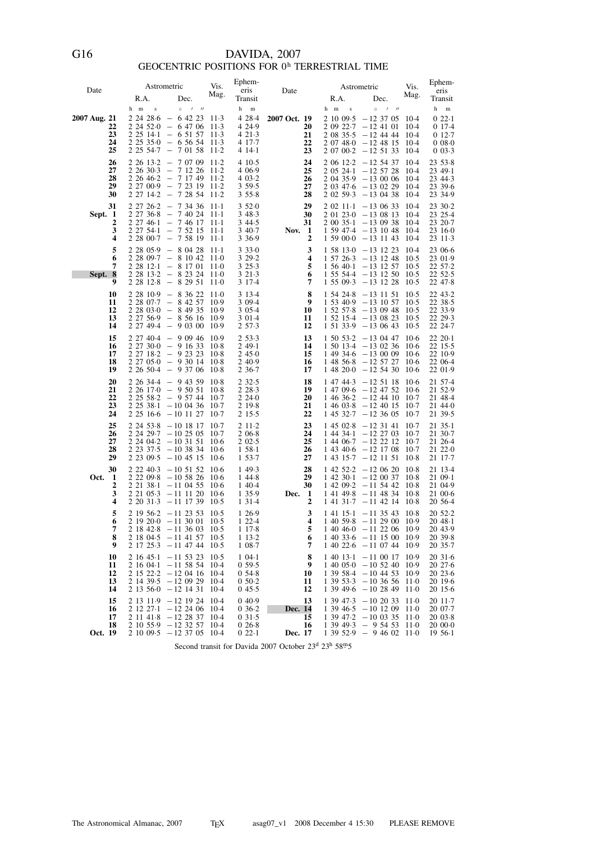## DAVIDA, 2007<br>GEOCENTRIC POSITIONS FOR  $0^{\rm h}$  TERRESTRIAL TIME

| Date         |                            | Astrometric                                                                                                                                                                                                                                                         |                                 | Vis.<br>eris                   | Ephem-                                                             | Date                                        | Astrometric     |                                                                                                                                                                                                      | Vis.                                 | Ephem-<br>eris                                                              |
|--------------|----------------------------|---------------------------------------------------------------------------------------------------------------------------------------------------------------------------------------------------------------------------------------------------------------------|---------------------------------|--------------------------------|--------------------------------------------------------------------|---------------------------------------------|-----------------|------------------------------------------------------------------------------------------------------------------------------------------------------------------------------------------------------|--------------------------------------|-----------------------------------------------------------------------------|
|              |                            | R.A.                                                                                                                                                                                                                                                                | Dec.                            | Mag.                           | Transit                                                            |                                             | R.A.            | Dec.                                                                                                                                                                                                 | Mag.                                 | Transit                                                                     |
| 2007 Aug. 21 | 22<br>23<br>24<br>25       | h m<br>$\bf{s}$<br>$2\,24\,28\cdot6\ -\ 6\,42\,23\ 11\cdot3$<br>$2\,24\,52.0 - 6\,47\,06\,11.3$<br>$2\;25\;14.1\; -\;6\;51\;57$<br>$2\,25\,35.0\ -\ 6\,56\,54\ 11.3$<br>$2\;25\;54.7\;$ - 7 01 58                                                                   | $\circ$<br>$\prime$ $\prime$    | $11-3$<br>$11-2$               | h<br>$\mathbf m$<br>4 28 4<br>4 2 4 9<br>421.3<br>4 17 7<br>4 14 1 | 2007 Oct. 19<br>20<br>21<br>22<br>23        | h m<br>$\bf{s}$ | $\circ$<br>$\prime$ $\prime$<br>$2 10 09.5 -12 37 05 10.4$<br>$2\,09\,22.7\ -12\,41\,01$<br>$2\;08\;35.5\;$ -12 44 44<br>$2\ 07\ 48.0\ -12\ 48\ 15\ 10.4$<br>$2\ 07\ 00.2\ -12\ 51\ 33$              | 10-4<br>10-4<br>-10.4                | h<br>$\mathbf m$<br>022.1<br>017.4<br>012.7<br>$0.08 - 0.0$<br>$0.03 - 3.3$ |
|              | 26<br>27<br>28<br>29<br>30 | $2\;26\;13.2\;-\;7\;07\;09\;11.2$<br>$2\;26\;30.3\;\;-\;7\;12\;26$<br>$2\; 26\; 46 \cdot 2\;\;-\;7\; 17\; 49\; 11 \cdot 2$<br>2 27 00 9 - 7 23 19 11 2<br>$2\;27\;14.2\;\;-\;\;7\;28\;54\;\;11.2$                                                                   |                                 | $11-2$                         | 410.5<br>4 0 6 9<br>403.2<br>3 59 5<br>355.8                       | 24<br>25<br>26<br>27<br>28                  |                 | $2\;06\;12.2\;-12\;54\;37$<br>$2\;05\;24.1\;-12\;57\;28$<br>$2.04.35.9 - 13.00.06$ 10.4<br>$2\;03\;47.6\;-13\;02\;29\;10.4$<br>$2\,02\,59.3\,-13\,04\,38$                                            | 10-4<br>-10-4<br>-10-4               | 23, 53.8<br>23 49 - 1<br>23 44 - 3<br>23 39 6<br>23 34.9                    |
| Sept. 1      | 31<br>2<br>3<br>4          | $2\;27\;26.2\;\;-\;\;7\;34\;36\;\;11.1$<br>$2\;27\;36.8\;\;-\;\;7\;40\;24\;\;11.1$<br>$\begin{array}{rrrr} 2 & 27 & 46 \cdot 1 & - & 7 & 46 & 17 & 11 \cdot 1 \\ 2 & 27 & 54 \cdot 1 & - & 7 & 52 & 15 & 11 \cdot 1 \end{array}$<br>$2\ 28\ 00.7 - 7\ 58\ 19\ 11.1$ |                                 |                                | 3520<br>348.3<br>3 4 4 5<br>3 4 0 - 7<br>3 3 6 9                   | 29<br>30<br>31<br>Nov.<br>- 1<br>2          |                 | $2\,02\,11\cdot1\quad -13\,06\,33$<br>$2$ 01 23 $\cdot$ 0 $-13$ 08 13 10 $\cdot$ 4<br>$2\ 00\ 35 \cdot 1\ -13\ 09\ 38\ 10 \cdot 4$<br>$1\,59\,47.4\; -13\,10\,48$<br>$1\,59\,000 - 13\,11\,43\,10.4$ | -10.4<br>-10-4                       | 23 30 2<br>23 25.4<br>23 20 - 7<br>23 16 0<br>23 11 3                       |
| Sept. 8      | 5<br>6<br>7<br>9           | $2\;28\;05.9\;\;-\;\;8\;04\;28$<br>2 28 09 7 - 8 10 42 11 0<br>$2\;28\;12.1\;-\;8\;17\;01$<br>2 28 13 2 - 8 23 24 11 0<br>$2\;28\;12.8\; -\;8\;29\;51$                                                                                                              |                                 | $11-1$<br>11-0<br>$11-0$       | 3330<br>3 29 2<br>325.3<br>3 2 1 - 3<br>3 1 7 - 4                  | 3<br>4<br>5<br>6<br>7                       |                 | $1\,58\,13.0\,-13\,12\,23\,10.4$<br>$1\ 57\ 26.3\ -13\ 12\ 48\ 10.5$<br>$1\,56\,40.1\; -13\,12\,57\;10.5$<br>$1\ 55\ 54.4$ - 13 12 50 10.5<br>$1\,55\,09.3\,-13\,12\,28$                             | $10-5$                               | 23 06 6<br>23 01.9<br>22 57 - 2<br>22 52.5<br>22 47 8                       |
|              | 10<br>11<br>12<br>13<br>14 | $2\;28\;10.9\; - \;8\;36\;22$<br>$2\;28\;07.7\;\;-\;\;8\;42\;57$<br>$2\ 28\ 03\ 0\ -\ 8\ 49\ 35\ 10\ 9$<br>$2\;27\;56.9\;\;-\;\;8\;56\;16$<br>$2\;27\;49.4\;-\;9\;03\;00$                                                                                           |                                 | $11-0$<br>10.9<br>10.9<br>10.9 | 3 1 3 - 4<br>3 09 4<br>3 0 5 4<br>3 0 1 - 4<br>2 5 7 - 3           | 8<br>9<br>10<br>11<br>12                    | 1 54 24 8       | $-13$ 11 51<br>$1\,53\,40.9\,-13\,10\,57$<br>$1\,52\,57.8$ -13 09 48 10.5<br>$1\,52\,15.4\,-13\,08\,23$<br>$1\,51\,33.9\,-13\,06\,43$                                                                | $10-5$<br>$10-5$<br>$10-5$<br>$10-5$ | 22 43 - 2<br>22 38 5<br>22 33.9<br>22 29 3<br>22 24 7                       |
|              | 15<br>16<br>17<br>18<br>19 | $2\,27\,40.4\ -\ 9\,09\,46\ 10.9$<br>$2\ 27\ 30\ 0\ -\ 9\ 16\ 33\ 10\ 8$<br>2 27 18-2 - 9 23 23<br>$2\;27\;050\; - \;9\;30\;14$<br>$2\;26\;50.4\; - \;9\;37\;06$                                                                                                    |                                 | $10-8$<br>$10-8$<br>10.8       | 253.3<br>249.1<br>245.0<br>2 4 0 . 9<br>2 3 6 - 7                  | 13<br>14<br>15<br>16<br>17                  |                 | $1\ 50\ 53.2\ -13\ 04\ 47\ 10.6$<br>$1\ 50\ 13.4\ -13\ 02\ 36\ 10.6$<br>$149346 - 130009106$<br>$1\;48\;56.8\;$ - 12 57 27<br>$148200 - 125430$                                                      | $10-6$<br>$10-6$                     | $22\;20.1$<br>22 15 - 5<br>22 10.9<br>22 06.4<br>22 01.9                    |
|              | 20<br>21<br>22<br>23<br>24 | $2\;26\;34.4\;\;-\;\;9\;43\;59\;\;10.8$<br>$2\;26\;17.0\;$ - 9 50 51<br>$2\;25\;58.2\;\;-\;\;9\;57\;44$<br>$2\ 25\ 38.1 - 10\ 04\ 36\ 10.7$<br>$2\;25\;16\;6\;-10\;11\;27$                                                                                          |                                 | $10-8$<br>$10-7$<br>$10-7$     | 232.5<br>2 2 8 - 3<br>2240<br>2 19.8<br>2 1 5 - 5                  | 18<br>19<br>20<br>21<br>22                  | 1 47 44 3       | $-12$ 51 18 10.6<br>$14709.6 - 12475210.6$<br>$1\;46\;36.2\;\; -12\;44\;10\;\;10.7$<br>$1\,46\,03.8$ - 12 40 15<br>$1\,45\,32.7\; -12\,36\,05$                                                       | 10.7<br>$10-7$                       | 21 57.4<br>21 52.9<br>21 48 4<br>21 44 0<br>21 39 - 5                       |
|              | 25<br>26<br>27<br>28<br>29 | $2, 24, 53.8 - 10, 18, 17$<br>$2\;24\;29.7\; -10\;25\;05\;10.7$<br>$2,24,04.2 - 10,31,51$<br>$2\,23\,37.5\,-10\,38\,34$<br>$2\,23\,09.5\; -10\,45\,15\,10.6$                                                                                                        |                                 | $10-7$<br>$10-6$<br>$10-6$     | $211-2$<br>2 0 6 8<br>202.5<br>1, 58.1<br>1 53.7                   | 23<br>24<br>25<br>26<br>27                  | 1 44 34 1       | $1\;45\;02.8\; -12\;31\;41$<br>$-12$ 27 03 10.7<br>$1\;44\;06.7\;$ - 12 22 12 10.7<br>$1\,43\,40.6\; -12\,17\,08$<br>$1\;43\;15.7\;$ -12 11 51                                                       | $10-7$<br>10.7<br>10.8               | $2135-1$<br>21 30 7<br>21 26 4<br>21 22 0<br>21 17 7                        |
| Oct.         | 30<br>1<br>2<br>3<br>4     | 2 2 2 4 0 3<br>$2,22,09.8 - 10,58,26,10.6$<br>$2$ 21 38 1 - 11 04 55 10 6<br>2 21 05 3<br>$2, 20, 31.3 - 11, 17, 39, 10.5$                                                                                                                                          | $-10$ 51 52 10.6<br>$-11$ 11 20 | $10-6$                         | 1 49 3<br>1 44 8<br>1 4 0 4<br>1 35.9<br>1 3 1 - 4                 | 28<br>29<br>30<br>$\mathbf{1}$<br>Dec.<br>2 |                 | $1\;42\;52.2\; -12\;06\;20\;10.8$<br>$1\;42\;30.1\;$ $-12\;00\;37\;10.8$<br>$1\;42\;09.2\;$ - 11 54 42 10.8<br>$14149.8 - 114834$<br>$1\;41\;31.7\;$ $-11\;42\;14\;10.8$                             | -10.8                                | 21 13 4<br>21 09 1<br>21 04.9<br>21 00 6<br>20 56 4                         |
|              | 5<br>6<br>7<br>8<br>9      | $2 \t19 \t56.2 -11 \t23 \t53 \t10.5$<br>$2 19 20 \cdot 0 - 11 30 01 10 \cdot 5$<br>$21842.8 - 11360310.5$<br>$2 \t18 \t04.5 -11 \t41 \t57 \t10.5$<br>$2 \t17 \t25 \t3 \t -11 \t47 \t44 \t10 \t5$                                                                    |                                 |                                | 1 2 6 9<br>1 2 2 4<br>1 1 7 8<br>113.2<br>108.7                    | 3<br>4<br>5<br>6<br>7                       |                 | $1\;41\;15.1\; -11\;35\;43\;10.8$<br>$1\ 40\ 59.8$ - 11 29 00 10.9<br>$1\;40\;46.0\;-11\;22\;06\;10.9$<br>$1\,40\,33.6\; -11\,15\,00\;10.9$<br>$1\ 40\ 22.6\ -11\ 07\ 44\ 10.9$                      |                                      | 20 52.2<br>2048.1<br>20 43.9<br>20 39 8<br>20 35 7                          |
|              | 10<br>11<br>12<br>13<br>14 | $2 \t16 \t45 \t1 \t-11 \t53 \t23$<br>$2 16 04 \cdot 1 - 11 58 54 10 \cdot 4$<br>$2 \t15 \t22.2 -12 \t04 \t16 \t10.4$<br>$2 \t14 \t39.5 -12 \t09 \t29$<br>$2 \t13 \t56 \t0 -12 \t14 \t31$                                                                            |                                 | $10-5$<br>$10-4$<br>$10-4$     | $104-1$<br>0.59.5<br>054.8<br>$0.50 - 2$<br>045.5                  | 8<br>9<br>10<br>11<br>12                    |                 | $1\;40\;13.1\; -11\;00\;17\;10.9$<br>$1\;40\;05\;0\;-10\;52\;40\;10\;9$<br>$1\,39\,58.4$ - 10 44 53 10.9<br>$1\,39\,53.3\; -10\,36\,56\;11.0$<br>$1\,39\,49.6$ -10 28 49 11.0                        |                                      | 2031.6<br>2027.6<br>2023.6<br>20 19 - 6<br>20 15 - 6                        |
| Oct. 19      | 15<br>16<br>17<br>18       | $2 \t13 \t11.9 -12 \t19 \t24$<br>$2 \t12 \t27 \t-12 \t24 \t06 \t10 \t4$<br>$2 11 41.8 - 12 28 37 10.4$<br>$2 10 55.9 - 12 32 57$<br>$2 10 09.5 - 12 37 05 10.4$                                                                                                     |                                 | $10-4$<br>$10-4$               | 040.9<br>$0.36 - 2$<br>031.5<br>026.8<br>022.1                     | 13<br>Dec. 14<br>15<br>16<br>Dec. 17        |                 | $1\,39\,47.3\; -10\,20\,33\;11.0$<br>$1\,39\,46.5\; -10\,12\,09\; 11.0$<br>$1\,39\,47.2\; -10\,03\,35\;11.0$<br>$1\,39\,49.3\ -\ 9\,54\,53\ 11.0$<br>$1\,39\,52.9$ - 9 46 02 11.0                    |                                      | 20 11 - 7<br>20 07 - 7<br>20 03.8<br>20 00 0<br>$1956-1$                    |

Second transit for Davida 2007 October 23<sup>d</sup> 23<sup>h</sup> 58<sup>m</sup>5